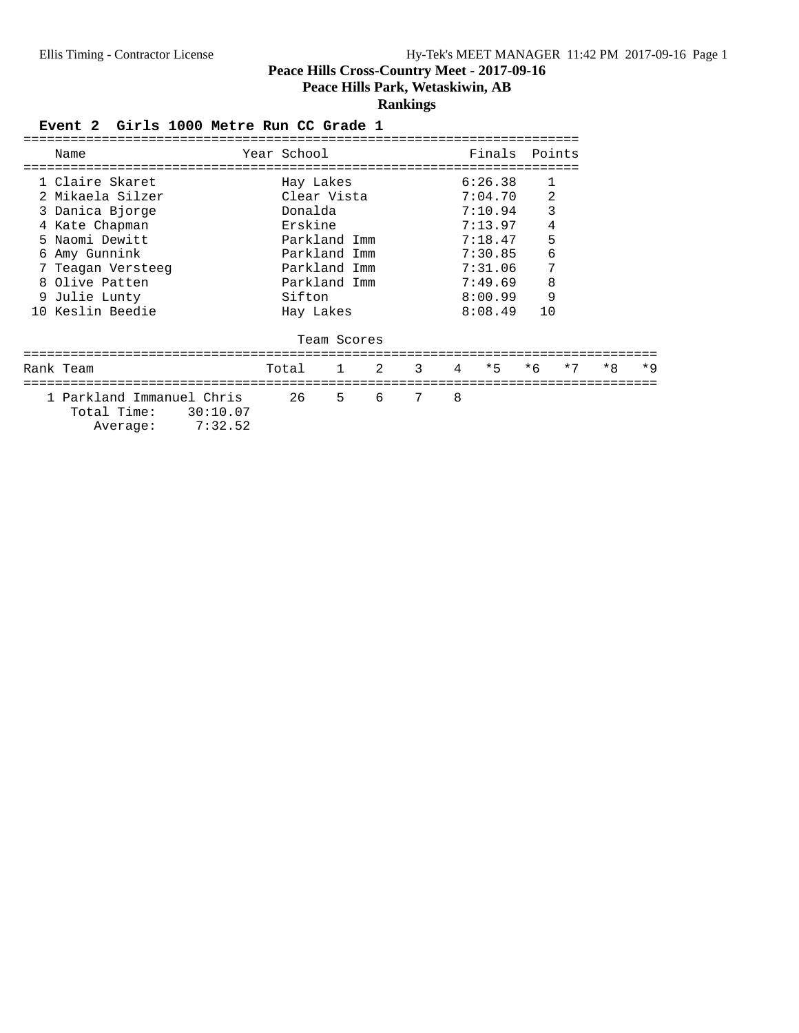**Peace Hills Park, Wetaskiwin, AB**

## **Rankings**

#### Event 2 Girls 1000 Metre Run CC Grade 1

| Name                      | Year School  |             |   |   |   | Finals       | Points         |      |      |      |
|---------------------------|--------------|-------------|---|---|---|--------------|----------------|------|------|------|
|                           |              |             |   |   |   |              |                |      |      |      |
| 1 Claire Skaret           | Hay Lakes    |             |   |   |   | 6:26.38      | $\mathbf{1}$   |      |      |      |
| 2 Mikaela Silzer          | Clear Vista  |             |   |   |   | 7:04.70      | $\overline{2}$ |      |      |      |
| 3 Danica Bjorge           | Donalda      |             |   |   |   | 7:10.94      | 3              |      |      |      |
| 4 Kate Chapman            | Erskine      |             |   |   |   | 7:13.97      | 4              |      |      |      |
| 5 Naomi Dewitt            | Parkland Imm |             |   |   |   | 7:18.47      | 5              |      |      |      |
| 6 Amy Gunnink             | Parkland Imm |             |   |   |   | 7:30.85      | 6              |      |      |      |
| 7 Teagan Versteeg         | Parkland Imm |             |   |   |   | 7:31.06      | 7              |      |      |      |
| 8 Olive Patten            | Parkland Imm |             |   |   |   | 7:49.69      | 8              |      |      |      |
| 9 Julie Lunty             | Sifton       |             |   |   |   | 8:00.99      | 9              |      |      |      |
| 10 Keslin Beedie          | Hay Lakes    |             |   |   |   | 8:08.49      | 10             |      |      |      |
|                           |              |             |   |   |   |              |                |      |      |      |
|                           |              | Team Scores |   |   |   |              |                |      |      |      |
|                           |              |             |   |   |   |              |                |      |      |      |
| Rank Team                 | Total 1 2 3  |             |   |   |   | $4 \times 5$ | $*6$           | $*7$ | $*8$ | $*9$ |
| ===============           |              |             |   |   |   |              |                |      |      |      |
| 1 Parkland Immanuel Chris | 26           | 5           | 6 | 7 | 8 |              |                |      |      |      |

 Total Time: 30:10.07 Average: 7:32.52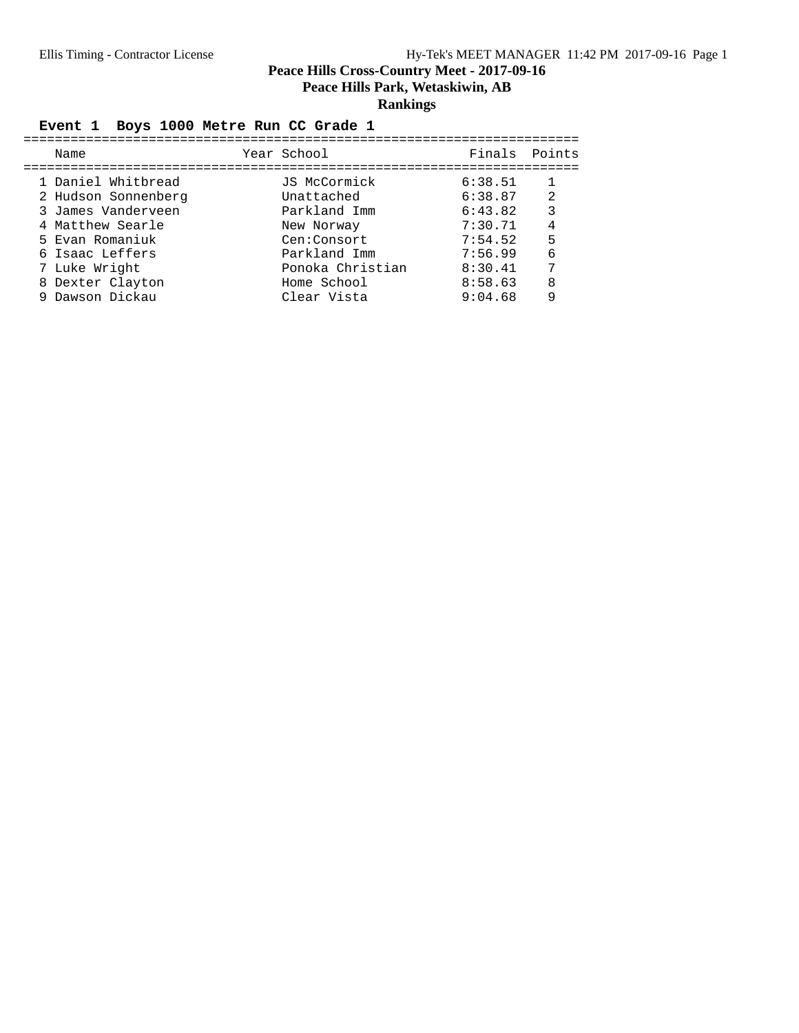## **Rankings**

## Event 1 Boys 1000 Metre Run CC Grade 1

| Name                |  | Year School      |         | Finals Points |  |  |  |  |  |  |  |
|---------------------|--|------------------|---------|---------------|--|--|--|--|--|--|--|
| 1 Daniel Whitbread  |  | JS McCormick     | 6:38.51 |               |  |  |  |  |  |  |  |
| 2 Hudson Sonnenberg |  | Unattached       | 6:38.87 | 2             |  |  |  |  |  |  |  |
| 3 James Vanderveen  |  | Parkland Imm     | 6:43.82 | 3             |  |  |  |  |  |  |  |
| 4 Matthew Searle    |  | New Norway       | 7:30.71 | 4             |  |  |  |  |  |  |  |
| 5 Evan Romaniuk     |  | Cen:Consort      | 7:54.52 | 5             |  |  |  |  |  |  |  |
| 6 Isaac Leffers     |  | Parkland Imm     | 7:56.99 | 6             |  |  |  |  |  |  |  |
| 7 Luke Wright       |  | Ponoka Christian | 8:30.41 | 7             |  |  |  |  |  |  |  |
| 8 Dexter Clayton    |  | Home School      | 8:58.63 | 8             |  |  |  |  |  |  |  |
| 9 Dawson Dickau     |  | Clear Vista      | 9:04.68 | 9             |  |  |  |  |  |  |  |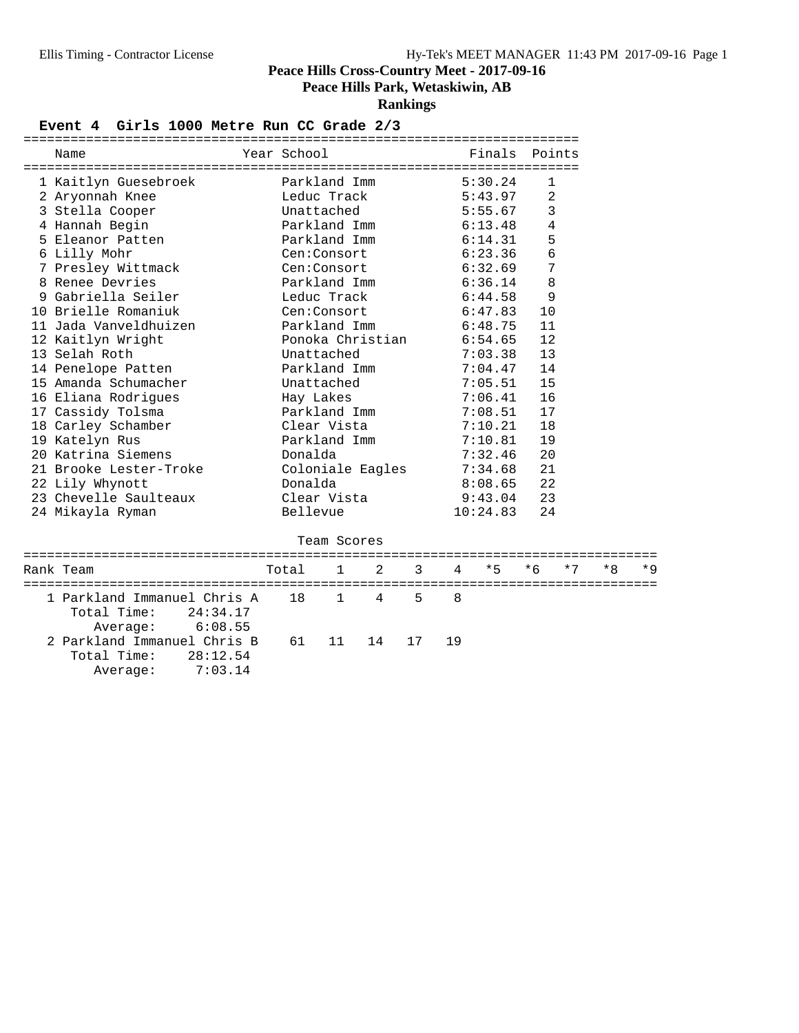**Peace Hills Park, Wetaskiwin, AB**

**Rankings**

#### Event 4 Girls 1000 Metre Run CC Grade 2/3

| Name                                                                          | Year School |              |                  |    |         | Finals   | Points |      |     |      |
|-------------------------------------------------------------------------------|-------------|--------------|------------------|----|---------|----------|--------|------|-----|------|
| 1 Kaitlyn Guesebroek                                                          |             | Parkland Imm |                  |    |         | 5:30.24  | 1      |      |     |      |
| 2 Aryonnah Knee                                                               |             | Leduc Track  |                  |    |         | 5:43.97  | 2      |      |     |      |
| 3 Stella Cooper                                                               | Unattached  |              |                  |    | 5:55.67 | 3        |        |      |     |      |
| 4 Hannah Begin                                                                |             | Parkland Imm |                  |    |         | 6:13.48  | 4      |      |     |      |
| 5 Eleanor Patten                                                              |             | Parkland Imm |                  |    |         | 6:14.31  | 5      |      |     |      |
| 6 Lilly Mohr                                                                  |             | Cen:Consort  |                  |    |         | 6:23.36  | 6      |      |     |      |
| 7 Presley Wittmack                                                            |             | Cen:Consort  |                  |    |         | 6:32.69  | 7      |      |     |      |
| 8 Renee Devries                                                               |             | Parkland Imm |                  |    |         | 6:36.14  | 8      |      |     |      |
| 9 Gabriella Seiler                                                            |             | Leduc Track  |                  |    |         | 6:44.58  | 9      |      |     |      |
| 10 Brielle Romaniuk                                                           |             | Cen:Consort  |                  |    |         | 6:47.83  | 10     |      |     |      |
| 11 Jada Vanveldhuizen                                                         |             | Parkland Imm |                  |    |         | 6:48.75  | 11     |      |     |      |
| 12 Kaitlyn Wright                                                             |             |              | Ponoka Christian |    |         | 6:54.65  | 12     |      |     |      |
| 13 Selah Roth                                                                 |             | Unattached   |                  |    |         | 7:03.38  | 13     |      |     |      |
| 14 Penelope Patten                                                            |             | Parkland Imm |                  |    |         | 7:04.47  | 14     |      |     |      |
| 15 Amanda Schumacher                                                          |             | Unattached   |                  |    |         | 7:05.51  | 15     |      |     |      |
| 16 Eliana Rodrigues                                                           |             | Hay Lakes    |                  |    |         | 7:06.41  | 16     |      |     |      |
| 17 Cassidy Tolsma                                                             |             | Parkland Imm |                  |    |         | 7:08.51  | 17     |      |     |      |
| 18 Carley Schamber                                                            |             | Clear Vista  |                  |    |         | 7:10.21  | 18     |      |     |      |
| 19 Katelyn Rus                                                                |             | Parkland Imm |                  |    |         | 7:10.81  | 19     |      |     |      |
| 20 Katrina Siemens                                                            | Donalda     |              |                  |    |         | 7:32.46  | 20     |      |     |      |
| 21 Brooke Lester-Troke                                                        |             |              | Coloniale Eagles |    |         | 7:34.68  | 21     |      |     |      |
| 22 Lily Whynott                                                               | Donalda     |              |                  |    |         | 8:08.65  | 22     |      |     |      |
| 23 Chevelle Saulteaux                                                         |             | Clear Vista  |                  |    |         | 9:43.04  | 23     |      |     |      |
| 24 Mikayla Ryman                                                              | Bellevue    |              |                  |    |         | 10:24.83 | 24     |      |     |      |
|                                                                               |             | Team Scores  |                  |    |         |          |        |      |     |      |
| Rank Team                                                                     | Total       | 1            | 2                | 3  | 4       | * 5      | * 6    | $*7$ | * 8 | $*Q$ |
| 1 Parkland Immanuel Chris A<br>Total Time:<br>24:34.17<br>6:08.55<br>Average: | 18          | 1            | 4                | 5  | 8       |          |        |      |     |      |
| 2 Parkland Immanuel Chris B<br>Total Time:<br>28:12.54<br>7:03.14<br>Average: | 61          | 11           | 14               | 17 | 19      |          |        |      |     |      |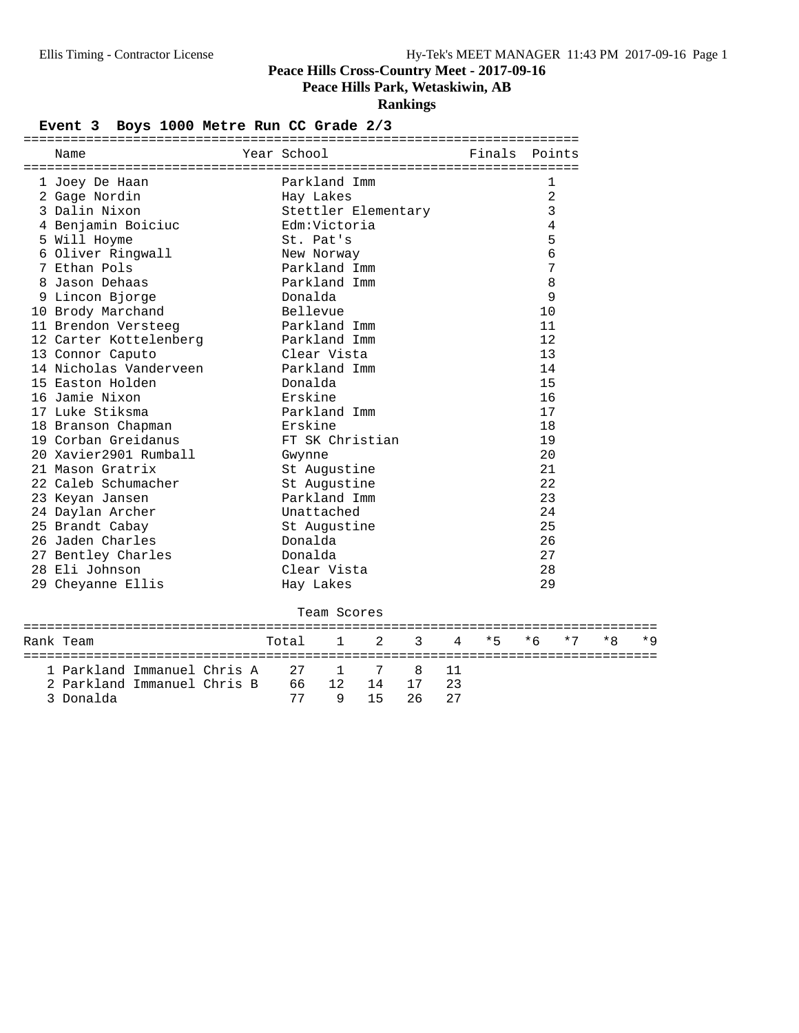## **Peace Hills Park, Wetaskiwin, AB**

**Rankings**

#### Event 3 Boys 1000 Metre Run CC Grade 2/3

| Name                        | Year School |         |                     |               |    |    | Finals Points |            |      |     |     |
|-----------------------------|-------------|---------|---------------------|---------------|----|----|---------------|------------|------|-----|-----|
| 1 Joey De Haan              |             |         | Parkland Imm        |               |    |    |               | 1          |      |     |     |
| 2 Gage Nordin               |             |         | Hay Lakes           |               |    |    |               | $\sqrt{2}$ |      |     |     |
| 3 Dalin Nixon               |             |         | Stettler Elementary |               |    |    |               | 3          |      |     |     |
| 4 Benjamin Boiciuc          |             |         | Edm:Victoria        |               |    |    |               | 4          |      |     |     |
| 5 Will Hoyme                |             |         | St. Pat's           |               | 5  |    |               |            |      |     |     |
| 6 Oliver Ringwall           |             |         | New Norway          |               |    |    |               | 6          |      |     |     |
| 7 Ethan Pols                |             |         | Parkland Imm        |               |    |    |               | 7          |      |     |     |
| 8 Jason Dehaas              |             |         | Parkland Imm        |               |    |    |               | 8          |      |     |     |
| 9 Lincon Bjorge             |             | Donalda |                     |               |    |    |               | 9          |      |     |     |
| 10 Brody Marchand           |             |         | Bellevue            |               |    |    |               | 10         |      |     |     |
| 11 Brendon Versteeg         |             |         | Parkland Imm        |               |    |    |               | 11         |      |     |     |
| 12 Carter Kottelenberg      |             |         | Parkland Imm        |               |    |    |               | 12         |      |     |     |
| 13 Connor Caputo            |             |         | Clear Vista         |               |    |    |               | 13         |      |     |     |
| 14 Nicholas Vanderveen      |             |         | Parkland Imm        |               |    |    |               | 14         |      |     |     |
| 15 Easton Holden            |             | Donalda |                     |               |    |    |               | 15         |      |     |     |
| 16 Jamie Nixon              |             | Erskine |                     |               |    |    |               | 16         |      |     |     |
| 17 Luke Stiksma             |             |         | Parkland Imm        |               |    |    |               | 17         |      |     |     |
| 18 Branson Chapman          |             | Erskine |                     |               |    |    |               | 18         |      |     |     |
| 19 Corban Greidanus         |             |         | FT SK Christian     |               |    |    |               | 19         |      |     |     |
| 20 Xavier2901 Rumball       |             | Gwynne  |                     |               |    |    |               | 20         |      |     |     |
| 21 Mason Gratrix            |             |         | St Augustine        |               |    |    |               | 21         |      |     |     |
| 22 Caleb Schumacher         |             |         | St Augustine        |               |    |    |               | 22         |      |     |     |
| 23 Keyan Jansen             |             |         | Parkland Imm        |               |    |    |               | 23         |      |     |     |
| 24 Daylan Archer            |             |         | Unattached          |               |    |    |               | 24         |      |     |     |
| 25 Brandt Cabay             |             |         | St Augustine        |               |    |    |               | 25         |      |     |     |
| 26 Jaden Charles            |             | Donalda |                     |               |    |    |               | 26         |      |     |     |
| 27 Bentley Charles          |             | Donalda |                     |               |    |    |               | 27         |      |     |     |
| 28 Eli Johnson              |             |         | Clear Vista         |               |    |    |               | 28         |      |     |     |
| 29 Cheyanne Ellis           |             |         | Hay Lakes           |               |    |    |               | 29         |      |     |     |
|                             |             |         | Team Scores         |               |    |    |               |            |      |     |     |
| Rank Team                   |             | Total   | $\mathbf{1}$        | $\mathcal{L}$ | 3  | 4  | $\star$ 5     | $*6$       | $*7$ | * R | * Q |
| 1 Parkland Immanuel Chris A |             | 27      | 1                   | 7             | 8  | 11 |               |            |      |     |     |
| 2 Parkland Immanuel Chris B |             | 66      | 12                  | 14            | 17 | 23 |               |            |      |     |     |
| 3 Donalda                   |             | 77      | 9                   | 15            | 26 | 27 |               |            |      |     |     |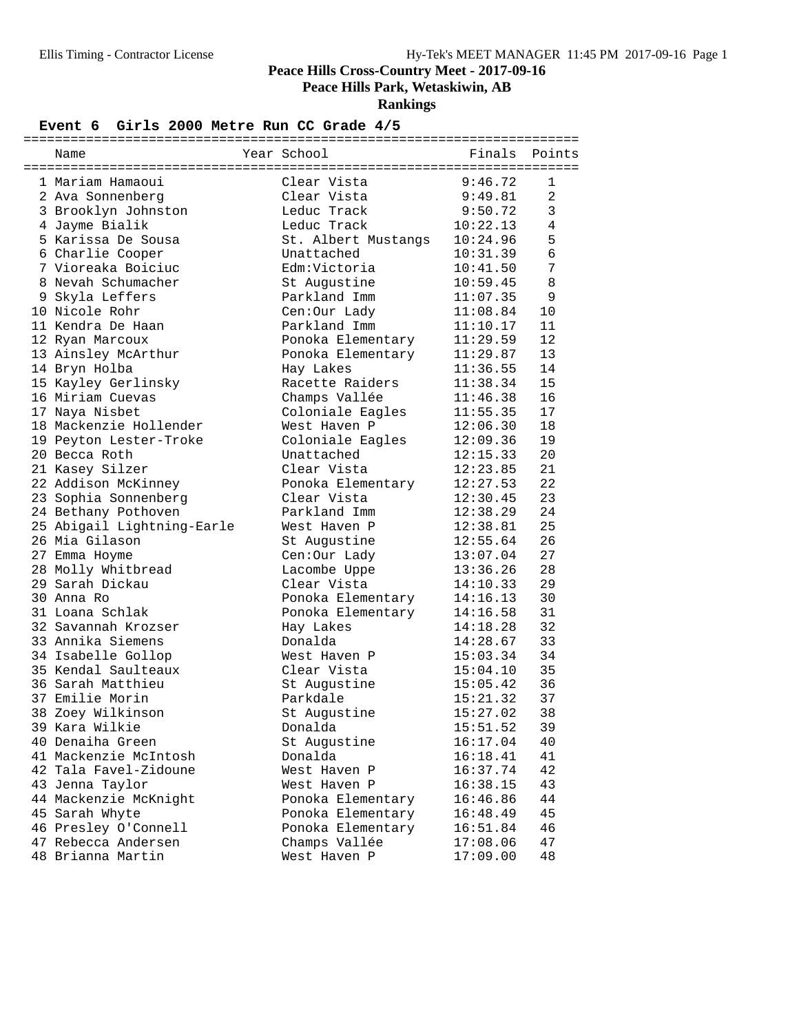**Peace Hills Park, Wetaskiwin, AB**

**Rankings**

#### Event 6 Girls 2000 Metre Run CC Grade  $4/5$

| Name                       | Year School         | Finals   | Points       |
|----------------------------|---------------------|----------|--------------|
|                            |                     |          |              |
| 1 Mariam Hamaoui           | Clear Vista         | 9:46.72  | $\mathbf{1}$ |
| 2 Ava Sonnenberg           | Clear Vista         | 9:49.81  | 2            |
| 3 Brooklyn Johnston        | Leduc Track         | 9:50.72  | 3            |
| 4 Jayme Bialik             | Leduc Track         | 10:22.13 | 4            |
| 5 Karissa De Sousa         | St. Albert Mustangs | 10:24.96 | 5            |
| 6 Charlie Cooper           | Unattached          | 10:31.39 | 6            |
| 7 Vioreaka Boiciuc         | Edm:Victoria        | 10:41.50 | 7            |
| 8 Nevah Schumacher         | St Augustine        | 10:59.45 | 8            |
| 9 Skyla Leffers            | Parkland Imm        | 11:07.35 | 9            |
| 10 Nicole Rohr             | Cen:Our Lady        | 11:08.84 | 10           |
| 11 Kendra De Haan          | Parkland Imm        | 11:10.17 | 11           |
| 12 Ryan Marcoux            | Ponoka Elementary   | 11:29.59 | 12           |
| 13 Ainsley McArthur        | Ponoka Elementary   | 11:29.87 | 13           |
| 14 Bryn Holba              | Hay Lakes           | 11:36.55 | 14           |
| 15 Kayley Gerlinsky        | Racette Raiders     | 11:38.34 | 15           |
| 16 Miriam Cuevas           | Champs Vallée       | 11:46.38 | 16           |
| 17 Naya Nisbet             | Coloniale Eagles    | 11:55.35 | 17           |
| 18 Mackenzie Hollender     | West Haven P        | 12:06.30 | 18           |
| 19 Peyton Lester-Troke     | Coloniale Eagles    | 12:09.36 | 19           |
| 20 Becca Roth              | Unattached          | 12:15.33 | 20           |
| 21 Kasey Silzer            | Clear Vista         | 12:23.85 | 21           |
| 22 Addison McKinney        | Ponoka Elementary   | 12:27.53 | 22           |
| 23 Sophia Sonnenberg       | Clear Vista         | 12:30.45 | 23           |
| 24 Bethany Pothoven        | Parkland Imm        | 12:38.29 | 24           |
| 25 Abigail Lightning-Earle | West Haven P        | 12:38.81 | 25           |
| 26 Mia Gilason             | St Augustine        | 12:55.64 | 26           |
| 27 Emma Hoyme              | Cen:Our Lady        | 13:07.04 | 27           |
| 28 Molly Whitbread         | Lacombe Uppe        | 13:36.26 | 28           |
| 29 Sarah Dickau            | Clear Vista         | 14:10.33 | 29           |
|                            |                     |          |              |
| 30 Anna Ro                 | Ponoka Elementary   | 14:16.13 | 30           |
| 31 Loana Schlak            | Ponoka Elementary   | 14:16.58 | 31           |
| 32 Savannah Krozser        | Hay Lakes           | 14:18.28 | 32           |
| 33 Annika Siemens          | Donalda             | 14:28.67 | 33           |
| 34 Isabelle Gollop         | West Haven P        | 15:03.34 | 34           |
| 35 Kendal Saulteaux        | Clear Vista         | 15:04.10 | 35           |
| 36 Sarah Matthieu          | St Augustine        | 15:05.42 | 36           |
| 37 Emilie Morin            | Parkdale            | 15:21.32 | 37           |
| 38 Zoey Wilkinson          | St Augustine        | 15:27.02 | 38           |
| 39 Kara Wilkie             | Donalda             | 15:51.52 | 39           |
| 40 Denaiha Green           | St Augustine        | 16:17.04 | 40           |
| 41 Mackenzie McIntosh      | Donalda             | 16:18.41 | 41           |
| 42 Tala Favel-Zidoune      | West Haven P        | 16:37.74 | 42           |
| 43 Jenna Taylor            | West Haven P        | 16:38.15 | 43           |
| 44 Mackenzie McKnight      | Ponoka Elementary   | 16:46.86 | 44           |
| 45 Sarah Whyte             | Ponoka Elementary   | 16:48.49 | 45           |
| 46 Presley O'Connell       | Ponoka Elementary   | 16:51.84 | 46           |
| 47 Rebecca Andersen        | Champs Vallée       | 17:08.06 | 47           |
| 48 Brianna Martin          | West Haven P        | 17:09.00 | 48           |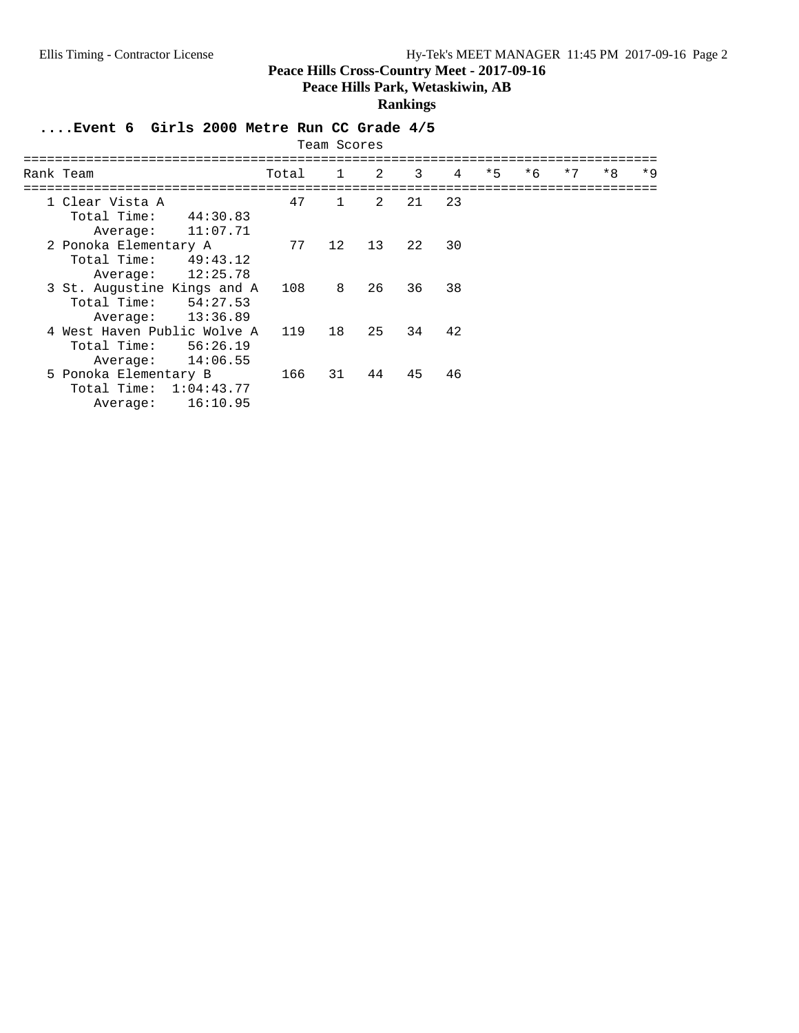**Peace Hills Park, Wetaskiwin, AB**

#### **Rankings**

## **....Event 6 Girls 2000 Metre Run CC Grade 4/5**

| Team Scores                                                                    |       |              |               |    |    |      |      |      |      |      |
|--------------------------------------------------------------------------------|-------|--------------|---------------|----|----|------|------|------|------|------|
| Rank Team                                                                      | Total | 1            | 2             | 3  | 4  | $*5$ | $*6$ | $*7$ | $*8$ | $*9$ |
| 1 Clear Vista A<br>Total Time:<br>44:30.83<br>11:07.71<br>Average:             | 47    | $\mathbf{1}$ | $\mathcal{L}$ | 21 | 23 |      |      |      |      |      |
| 2 Ponoka Elementary A<br>Total Time:<br>49:43.12<br>12:25.78<br>Average:       | 77    | 12           | 13            | 22 | 30 |      |      |      |      |      |
| 3 St. Augustine Kings and A<br>54:27.53<br>Total Time:<br>13:36.89<br>Average: | 108   | 8            | 26            | 36 | 38 |      |      |      |      |      |
| 4 West Haven Public Wolve A<br>Total Time:<br>56:26.19<br>14:06.55<br>Average: | 119   | 18           | 25            | 34 | 42 |      |      |      |      |      |
| 5 Ponoka Elementary B<br>Total Time:<br>1:04:43.77<br>16:10.95<br>Average:     | 166   | 31           | 44            | 45 | 46 |      |      |      |      |      |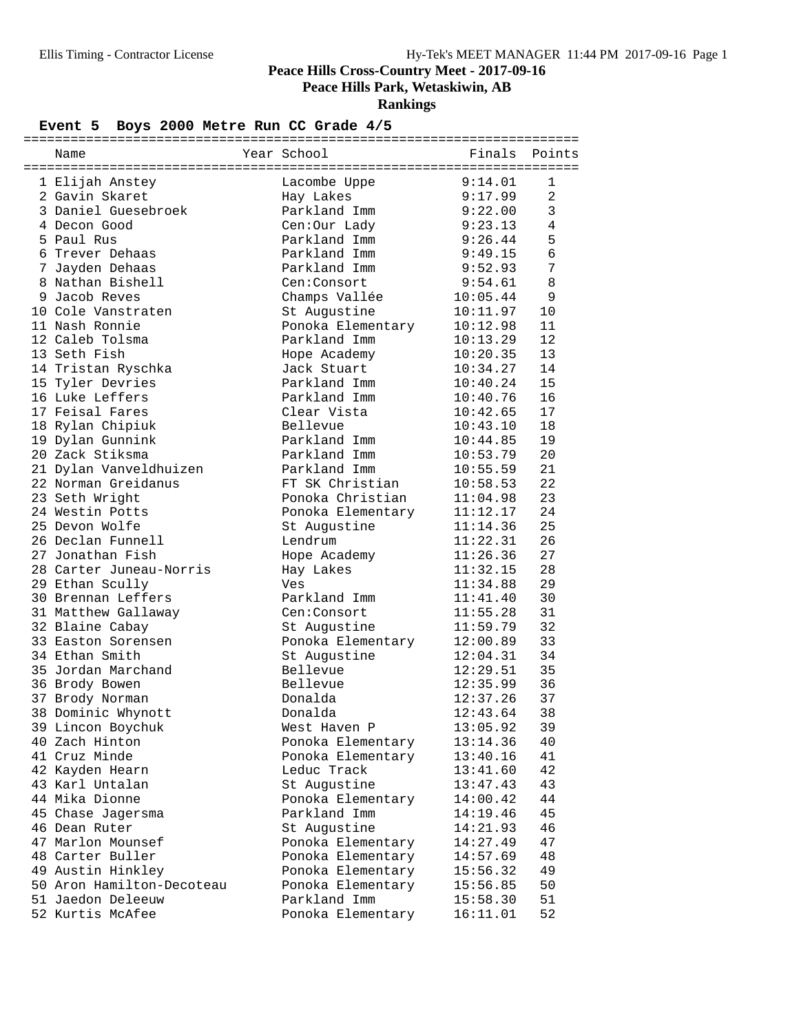**Peace Hills Park, Wetaskiwin, AB**

**Rankings**

## Event 5 Boys 2000 Metre Run CC Grade  $4/5$

|                                       | =========                 | =======       |                |
|---------------------------------------|---------------------------|---------------|----------------|
| Name                                  | Year School               | Finals Points |                |
|                                       | Lacombe Uppe              | 9:14.01       | $\mathbf{1}$   |
| 1 Elijah Anstey                       |                           |               | $\overline{2}$ |
| 2 Gavin Skaret<br>3 Daniel Guesebroek | Hay Lakes<br>Parkland Imm | 9:17.99       | 3              |
|                                       |                           | 9:22.00       | $\overline{4}$ |
| 4 Decon Good                          | Cen:Our Lady              | 9:23.13       |                |
| 5 Paul Rus                            | Parkland Imm              | 9:26.44       | 5              |
| 6 Trever Dehaas                       | Parkland Imm              | 9:49.15       | 6              |
| 7 Jayden Dehaas                       | Parkland Imm              | 9:52.93       | 7              |
| 8 Nathan Bishell                      | Cen:Consort               | 9:54.61       | 8              |
| 9 Jacob Reves                         | Champs Vallée             | 10:05.44      | 9              |
| 10 Cole Vanstraten                    | St Augustine              | 10:11.97      | 10             |
| 11 Nash Ronnie                        | Ponoka Elementary         | 10:12.98      | 11             |
| 12 Caleb Tolsma                       | Parkland Imm              | 10:13.29      | 12             |
| 13 Seth Fish                          | Hope Academy              | 10:20.35      | 13             |
| 14 Tristan Ryschka                    | Jack Stuart               | 10:34.27      | 14             |
| 15 Tyler Devries                      | Parkland Imm              | 10:40.24      | 15             |
| 16 Luke Leffers                       | Parkland Imm              | 10:40.76      | 16             |
| 17 Feisal Fares                       | Clear Vista               | 10:42.65      | 17             |
| 18 Rylan Chipiuk                      | Bellevue                  | 10:43.10      | 18             |
| 19 Dylan Gunnink                      | Parkland Imm              | 10:44.85      | 19             |
| 20 Zack Stiksma                       | Parkland Imm              | 10:53.79      | 20             |
| 21 Dylan Vanveldhuizen                | Parkland Imm              | 10:55.59      | 21             |
| 22 Norman Greidanus                   | FT SK Christian           | 10:58.53      | 22             |
| 23 Seth Wright                        | Ponoka Christian          | 11:04.98      | 23             |
| 24 Westin Potts                       | Ponoka Elementary         | 11:12.17      | 24             |
| 25 Devon Wolfe                        | St Augustine              | 11:14.36      | 25             |
| 26 Declan Funnell                     | Lendrum                   | 11:22.31      | 26             |
| 27 Jonathan Fish                      | Hope Academy              | 11:26.36      | 27             |
| 28 Carter Juneau-Norris               | Hay Lakes                 | 11:32.15      | 28             |
| 29 Ethan Scully                       | Ves                       | 11:34.88      | 29             |
| 30 Brennan Leffers                    | Parkland Imm              | 11:41.40      | 30             |
| 31 Matthew Gallaway                   | Cen:Consort               | 11:55.28      | 31             |
| 32 Blaine Cabay                       | St Augustine              | 11:59.79      | 32             |
| 33 Easton Sorensen                    | Ponoka Elementary         | 12:00.89      | 33             |
| 34 Ethan Smith                        | St Augustine              | 12:04.31      | 34             |
| 35 Jordan Marchand                    | Bellevue                  | 12:29.51      | 35             |
| 36 Brody Bowen                        | Bellevue                  | 12:35.99      | 36             |
| 37 Brody Norman                       | Donalda                   | 12:37.26      | 37             |
| 38 Dominic Whynott                    | Donalda                   | 12:43.64      | 38             |
| 39 Lincon Boychuk                     | West Haven P              | 13:05.92      | 39             |
| 40 Zach Hinton                        | Ponoka Elementary         | 13:14.36      | 40             |
| 41 Cruz Minde                         | Ponoka Elementary         | 13:40.16      | 41             |
| 42 Kayden Hearn                       | Leduc Track               | 13:41.60      | 42             |
| 43 Karl Untalan                       | St Augustine              | 13:47.43      | 43             |
| 44 Mika Dionne                        | Ponoka Elementary         | 14:00.42      | 44             |
| 45 Chase Jagersma                     | Parkland Imm              | 14:19.46      | 45             |
| 46 Dean Ruter                         | St Augustine              | 14:21.93      | 46             |
| 47 Marlon Mounsef                     | Ponoka Elementary         | 14:27.49      | 47             |
| 48 Carter Buller                      | Ponoka Elementary         | 14:57.69      | 48             |
| 49 Austin Hinkley                     | Ponoka Elementary         | 15:56.32      | 49             |
| 50 Aron Hamilton-Decoteau             | Ponoka Elementary         | 15:56.85      | 50             |
| 51 Jaedon Deleeuw                     | Parkland Imm              | 15:58.30      | 51             |
| 52 Kurtis McAfee                      | Ponoka Elementary         | 16:11.01      | 52             |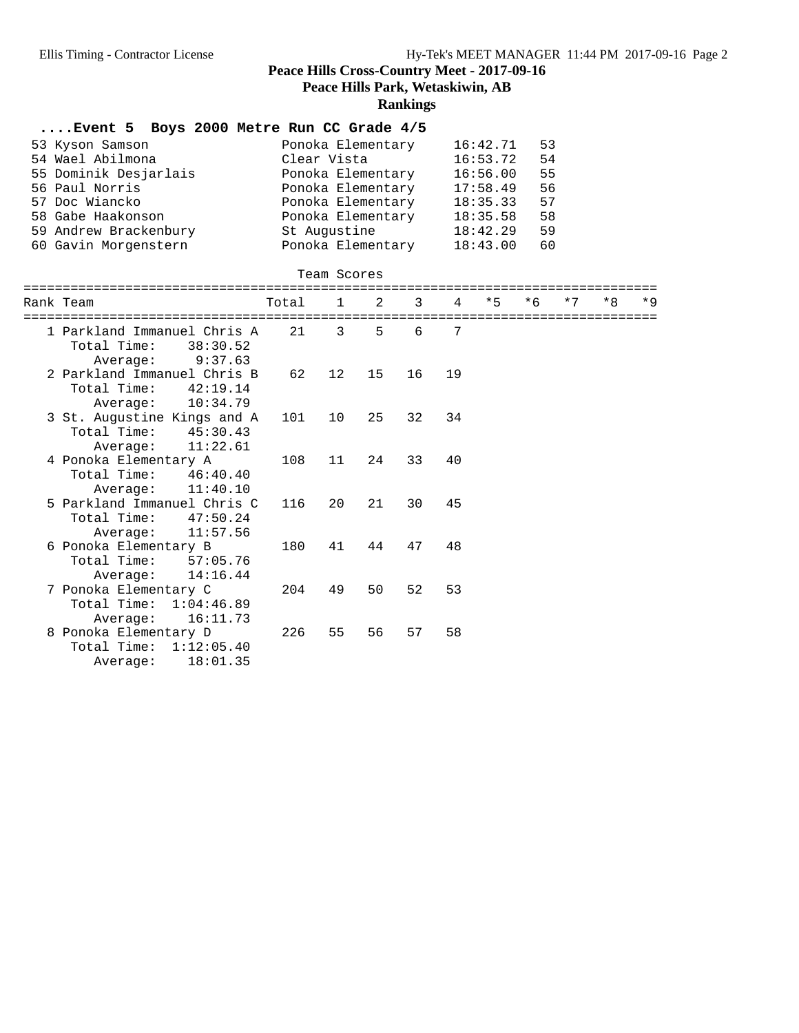#### **Rankings**

#### **....Event 5 Boys 2000 Metre Run CC Grade 4/5**

| 53 Kyson Samson<br>54 Wael Abilmona | Ponoka Elementary<br>Clear Vista | 16:42.71<br>16:53.72 | 53<br>54 |
|-------------------------------------|----------------------------------|----------------------|----------|
| 55 Dominik Desjarlais               | Ponoka Elementary                | 16:56.00             | 55       |
| 56 Paul Norris                      | Ponoka Elementary                | 17:58.49             | 56       |
| 57 Doc Wiancko                      | Ponoka Elementary                | 18:35.33             | 57       |
| 58 Gabe Haakonson                   | Ponoka Elementary                | 18:35.58             | 58       |
| 59 Andrew Brackenbury               | St Augustine                     | 18:42.29             | 59       |
| 60 Gavin Morgenstern                | Ponoka Elementary                | 18:43.00             | 60       |

#### Team Scores

| Rank Team                                                                      | Total | $\mathbf 1$    | 2  | 3  | $\overline{4}$ | $*5$ | $*6$ | $*7$ | $*8$ | $*9$ |
|--------------------------------------------------------------------------------|-------|----------------|----|----|----------------|------|------|------|------|------|
| 1 Parkland Immanuel Chris A<br>Total Time:<br>38:30.52<br>9:37.63<br>Average:  | 21    | $\overline{3}$ | 5  | 6  | 7              |      |      |      |      |      |
| 2 Parkland Immanuel Chris B<br>Total Time:<br>42:19.14<br>Average: 10:34.79    | 62    | 12             | 15 | 16 | 19             |      |      |      |      |      |
| 3 St. Augustine Kings and A<br>Total Time:<br>45:30.43<br>Average: 11:22.61    | 101   | 10             | 25 | 32 | 34             |      |      |      |      |      |
| 4 Ponoka Elementary A<br>Total Time:<br>46:40.40<br>11:40.10<br>Average:       | 108   | 11             | 24 | 33 | 40             |      |      |      |      |      |
| 5 Parkland Immanuel Chris C<br>Total Time:<br>47:50.24<br>11:57.56<br>Average: | 116   | 20             | 21 | 30 | 45             |      |      |      |      |      |
| 6 Ponoka Elementary B<br>Total Time:<br>57:05.76<br>14:16.44<br>Average:       | 180   | 41             | 44 | 47 | 48             |      |      |      |      |      |
| 7 Ponoka Elementary C<br>Total Time: 1:04:46.89<br>16:11.73<br>Average:        | 204   | 49             | 50 | 52 | 53             |      |      |      |      |      |
| 8 Ponoka Elementary D<br>Total Time:<br>1:12:05.40<br>18:01.35<br>Average:     | 226   | 55             | 56 | 57 | 58             |      |      |      |      |      |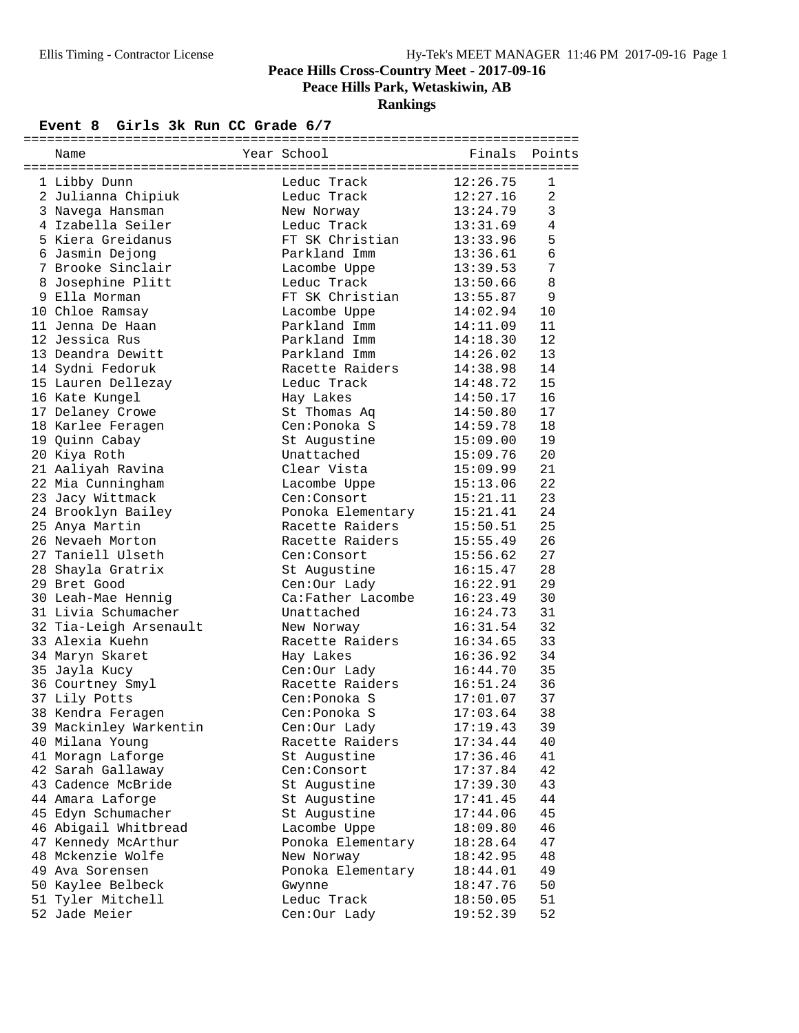**Peace Hills Park, Wetaskiwin, AB**

**Rankings**

#### Event 8 Girls 3k Run CC Grade  $6/7$

| Name                               | Year School       | Finals               | Points         |
|------------------------------------|-------------------|----------------------|----------------|
|                                    |                   |                      |                |
| 1 Libby Dunn                       | Leduc Track       | 12:26.75             | 1              |
| 2 Julianna Chipiuk                 | Leduc Track       | 12:27.16             | 2              |
| 3 Navega Hansman                   | New Norway        | 13:24.79             | $\mathbf{3}$   |
| 4 Izabella Seiler                  | Leduc Track       | 13:31.69             | $\overline{4}$ |
| 5 Kiera Greidanus                  | FT SK Christian   | 13:33.96             | 5              |
| 6 Jasmin Dejong                    | Parkland Imm      | 13:36.61             | $\epsilon$     |
| 7 Brooke Sinclair                  | Lacombe Uppe      | 13:39.53             | 7              |
| 8 Josephine Plitt                  | Leduc Track       | 13:50.66             | $\,8\,$        |
| 9 Ella Morman                      | FT SK Christian   | 13:55.87             | 9              |
| 10 Chloe Ramsay                    | Lacombe Uppe      | 14:02.94             | 10             |
| 11 Jenna De Haan                   | Parkland Imm      | 14:11.09             | 11             |
| 12 Jessica Rus                     | Parkland Imm      | 14:18.30             | 12             |
| 13 Deandra Dewitt                  | Parkland Imm      | 14:26.02             | 13             |
| 14 Sydni Fedoruk                   | Racette Raiders   | 14:38.98             | 14             |
| 15 Lauren Dellezay                 | Leduc Track       | 14:48.72             | 15             |
| 16 Kate Kungel                     | Hay Lakes         | 14:50.17             | 16             |
| 17 Delaney Crowe                   | St Thomas Aq      | 14:50.80             | 17             |
| 18 Karlee Feragen                  | Cen:Ponoka S      | 14:59.78             | 18             |
| 19 Quinn Cabay                     | St Augustine      | 15:09.00             | 19             |
| 20 Kiya Roth                       | Unattached        | 15:09.76             | 20             |
| 21 Aaliyah Ravina                  | Clear Vista       | 15:09.99             | 21             |
| 22 Mia Cunningham                  | Lacombe Uppe      | 15:13.06             | 22             |
| 23 Jacy Wittmack                   | Cen:Consort       | 15:21.11             | 23             |
|                                    | Ponoka Elementary | 15:21.41             | 24             |
| 24 Brooklyn Bailey                 | Racette Raiders   |                      | 25             |
| 25 Anya Martin<br>26 Nevaeh Morton | Racette Raiders   | 15:50.51             | 26             |
| 27 Taniell Ulseth                  | Cen:Consort       | 15:55.49             | 27             |
|                                    |                   | 15:56.62<br>16:15.47 |                |
| 28 Shayla Gratrix                  | St Augustine      |                      | 28             |
| 29 Bret Good                       | Cen:Our Lady      | 16:22.91             | 29             |
| 30 Leah-Mae Hennig                 | Ca:Father Lacombe | 16:23.49             | 30             |
| 31 Livia Schumacher                | Unattached        | 16:24.73             | 31             |
| 32 Tia-Leigh Arsenault             | New Norway        | 16:31.54             | 32             |
| 33 Alexia Kuehn                    | Racette Raiders   | 16:34.65             | 33             |
| 34 Maryn Skaret                    | Hay Lakes         | 16:36.92             | 34             |
| 35 Jayla Kucy                      | Cen:Our Lady      | 16:44.70             | 35             |
| 36 Courtney Smyl                   | Racette Raiders   | 16:51.24             | 36             |
| 37 Lily Potts                      | Cen: Ponoka S     | 17:01.07             | 37             |
| 38 Kendra Feragen                  | Cen:Ponoka S      | 17:03.64             | 38             |
| 39 Mackinley Warkentin             | Cen:Our Lady      | 17:19.43             | 39             |
| 40 Milana Young                    | Racette Raiders   | 17:34.44             | 40             |
| 41 Moragn Laforge                  | St Augustine      | 17:36.46             | 41             |
| 42 Sarah Gallaway                  | Cen:Consort       | 17:37.84             | 42             |
| 43 Cadence McBride                 | St Augustine      | 17:39.30             | 43             |
| 44 Amara Laforge                   | St Augustine      | 17:41.45             | 44             |
| 45 Edyn Schumacher                 | St Augustine      | 17:44.06             | 45             |
| 46 Abigail Whitbread               | Lacombe Uppe      | 18:09.80             | 46             |
| 47 Kennedy McArthur                | Ponoka Elementary | 18:28.64             | 47             |
| 48 Mckenzie Wolfe                  | New Norway        | 18:42.95             | 48             |
| 49 Ava Sorensen                    | Ponoka Elementary | 18:44.01             | 49             |
| 50 Kaylee Belbeck                  | Gwynne            | 18:47.76             | 50             |
| 51 Tyler Mitchell                  | Leduc Track       | 18:50.05             | 51             |
| 52 Jade Meier                      | Cen: Our Lady     | 19:52.39             | 52             |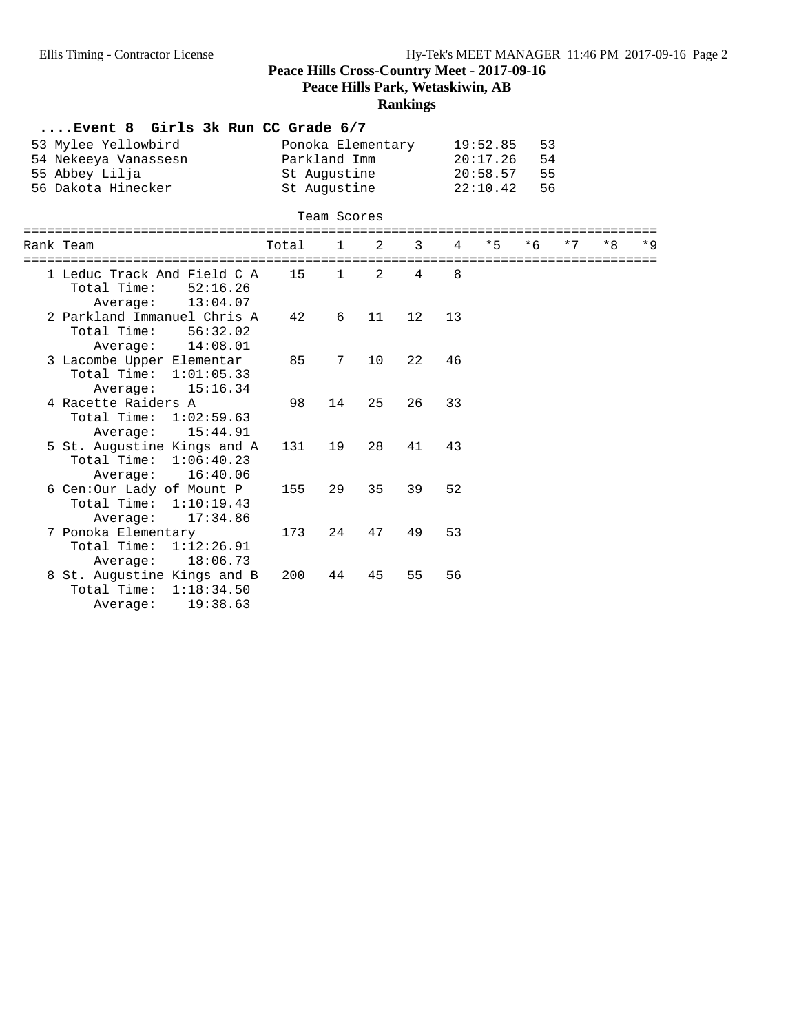**Peace Hills Park, Wetaskiwin, AB**

## **Rankings**

| $\ldots$ Event 8 Girls 3k Run CC Grade 6/7.            |       |                                   |               |                |              |                                                |          |      |      |      |
|--------------------------------------------------------|-------|-----------------------------------|---------------|----------------|--------------|------------------------------------------------|----------|------|------|------|
| 53 Mylee Yellowbird<br>54 Nekeeya Vanassesn            |       | Ponoka Elementary<br>Parkland Imm |               |                |              | 19:52.85<br>20:17.26                           | 53<br>54 |      |      |      |
| 55 Abbey Lilja                                         |       | St Augustine                      |               |                |              | 20:58.57                                       | 55       |      |      |      |
| 56 Dakota Hinecker                                     |       | St Augustine                      |               |                |              | 22:10.42                                       | 56       |      |      |      |
|                                                        |       |                                   |               |                |              |                                                |          |      |      |      |
| ==================                                     |       | Team Scores                       |               | ============== |              |                                                |          |      |      |      |
| Rank Team                                              | Total | $\mathbf{1}$                      | 2             | 3              | 4            | $*5$<br>====================================== | $*6$     | $*7$ | $*8$ | $*Q$ |
| 1 Leduc Track And Field C A<br>Total Time:<br>52:16.26 | 15    | $\mathbf{1}$                      | $\mathcal{L}$ | 4              | $\mathsf{R}$ |                                                |          |      |      |      |
| 13:04.07<br>Average:                                   |       |                                   |               |                |              |                                                |          |      |      |      |
| 2 Parkland Immanuel Chris A                            | 42    | 6                                 | 11            | 12             | 13           |                                                |          |      |      |      |
| Total Time: 56:32.02                                   |       |                                   |               |                |              |                                                |          |      |      |      |
| Average: 14:08.01                                      |       |                                   |               |                |              |                                                |          |      |      |      |
| 3 Lacombe Upper Elementar                              | 85    | 7                                 | 10            | 22             | 46           |                                                |          |      |      |      |
| Total Time: 1:01:05.33                                 |       |                                   |               |                |              |                                                |          |      |      |      |
| 15:16.34<br>Average:                                   |       |                                   |               |                |              |                                                |          |      |      |      |
| 4 Racette Raiders A                                    | 98    | 14                                | 25            | 26             | 33           |                                                |          |      |      |      |
| Total Time: 1:02:59.63                                 |       |                                   |               |                |              |                                                |          |      |      |      |
| 15:44.91<br>Average:                                   |       |                                   |               |                |              |                                                |          |      |      |      |
| 5 St. Augustine Kings and A                            | 131   | 19                                | 28            | 41             | 43           |                                                |          |      |      |      |
| Total Time: 1:06:40.23                                 |       |                                   |               |                |              |                                                |          |      |      |      |
| Average: 16:40.06                                      |       |                                   |               |                |              |                                                |          |      |      |      |
| 6 Cen:Our Lady of Mount P<br>Total Time:               | 155   | 29                                | 35            | 39             | 52           |                                                |          |      |      |      |
| 1:10:19.43<br>17:34.86                                 |       |                                   |               |                |              |                                                |          |      |      |      |
| Average:<br>7 Ponoka Elementary                        | 173   | 24                                | 47            | 49             | 53           |                                                |          |      |      |      |
| Total Time: 1:12:26.91                                 |       |                                   |               |                |              |                                                |          |      |      |      |
| 18:06.73<br>Average:                                   |       |                                   |               |                |              |                                                |          |      |      |      |
| 8 St. Augustine Kings and B                            | 200   | 44                                | 45            | 55             | 56           |                                                |          |      |      |      |
| Total Time:<br>1:18:34.50                              |       |                                   |               |                |              |                                                |          |      |      |      |
| 19:38.63<br>Average:                                   |       |                                   |               |                |              |                                                |          |      |      |      |
|                                                        |       |                                   |               |                |              |                                                |          |      |      |      |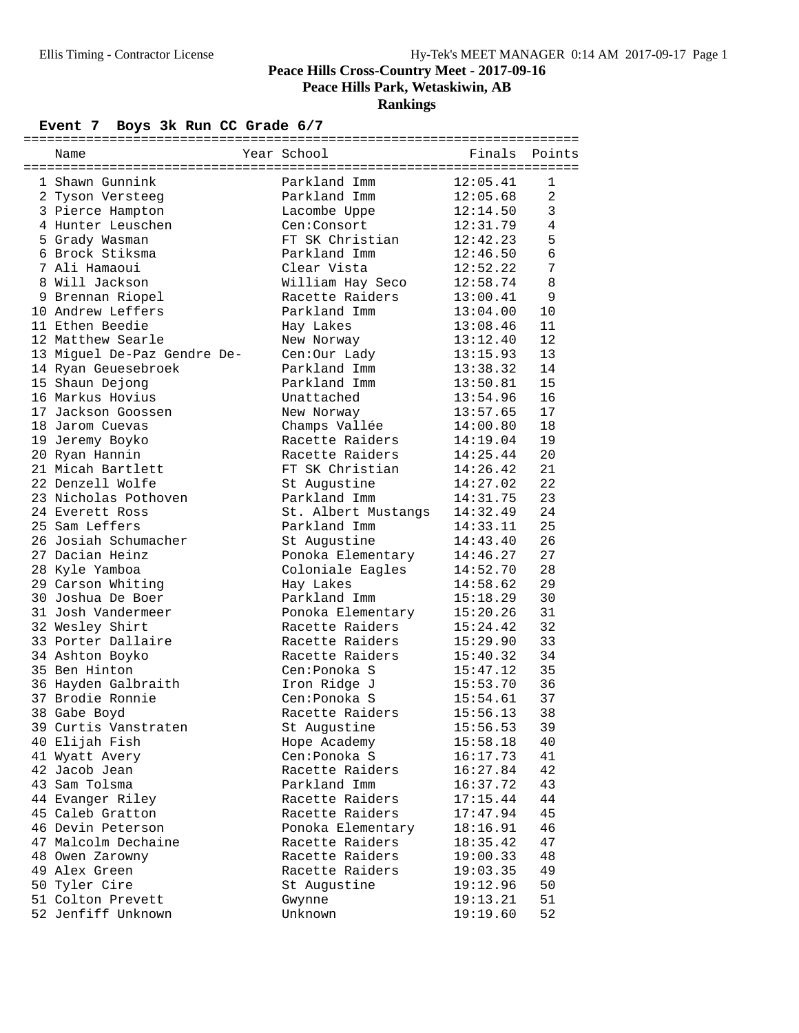**Rankings**

## Event 7 Boys 3k Run CC Grade  $6/7$

| Name                        | Year School         | Finals   | Points         |
|-----------------------------|---------------------|----------|----------------|
| 1 Shawn Gunnink             | Parkland Imm        | 12:05.41 | 1              |
| 2 Tyson Versteeg            | Parkland Imm        | 12:05.68 | $\overline{2}$ |
| 3 Pierce Hampton            | Lacombe Uppe        | 12:14.50 | 3              |
| 4 Hunter Leuschen           | Cen:Consort         | 12:31.79 | 4              |
| 5 Grady Wasman              | FT SK Christian     | 12:42.23 | 5              |
| 6 Brock Stiksma             | Parkland Imm        | 12:46.50 | 6              |
| 7 Ali Hamaoui               | Clear Vista         | 12:52.22 | 7              |
| 8 Will Jackson              | William Hay Seco    | 12:58.74 | 8              |
| 9 Brennan Riopel            | Racette Raiders     | 13:00.41 | 9              |
| 10 Andrew Leffers           | Parkland Imm        | 13:04.00 | 10             |
| 11 Ethen Beedie             | Hay Lakes           | 13:08.46 | 11             |
| 12 Matthew Searle           | New Norway          | 13:12.40 | 12             |
| 13 Miguel De-Paz Gendre De- | Cen:Our Lady        | 13:15.93 | 13             |
| 14 Ryan Geuesebroek         | Parkland Imm        | 13:38.32 | 14             |
| 15 Shaun Dejong             | Parkland Imm        | 13:50.81 | 15             |
| 16 Markus Hovius            | Unattached          | 13:54.96 | 16             |
| 17 Jackson Goossen          | New Norway          | 13:57.65 | 17             |
| 18 Jarom Cuevas             | Champs Vallée       | 14:00.80 | 18             |
| 19 Jeremy Boyko             | Racette Raiders     | 14:19.04 | 19             |
| 20 Ryan Hannin              | Racette Raiders     | 14:25.44 | 20             |
| 21 Micah Bartlett           | FT SK Christian     | 14:26.42 | 21             |
| 22 Denzell Wolfe            | St Augustine        | 14:27.02 | 22             |
| 23 Nicholas Pothoven        | Parkland Imm        | 14:31.75 | 23             |
| 24 Everett Ross             | St. Albert Mustangs | 14:32.49 | 24             |
| 25 Sam Leffers              | Parkland Imm        | 14:33.11 | 25             |
| 26 Josiah Schumacher        | St Augustine        | 14:43.40 | 26             |
| 27 Dacian Heinz             | Ponoka Elementary   | 14:46.27 | 27             |
| 28 Kyle Yamboa              | Coloniale Eagles    | 14:52.70 | 28             |
| 29 Carson Whiting           | Hay Lakes           | 14:58.62 | 29             |
| 30 Joshua De Boer           | Parkland Imm        | 15:18.29 | 30             |
| 31 Josh Vandermeer          | Ponoka Elementary   | 15:20.26 | 31             |
| 32 Wesley Shirt             | Racette Raiders     | 15:24.42 | 32             |
| 33 Porter Dallaire          | Racette Raiders     | 15:29.90 | 33             |
| 34 Ashton Boyko             | Racette Raiders     | 15:40.32 | 34             |
| 35 Ben Hinton               | Cen: Ponoka S       | 15:47.12 | 35             |
| 36 Hayden Galbraith         | Iron Ridge J        | 15:53.70 | 36             |
| 37 Brodie Ronnie            | Cen: Ponoka S       | 15:54.61 | 37             |
| 38 Gabe Boyd                | Racette Raiders     | 15:56.13 | 38             |
| 39 Curtis Vanstraten        | St Augustine        | 15:56.53 | 39             |
| 40 Elijah Fish              | Hope Academy        | 15:58.18 | 40             |
| 41 Wyatt Avery              | Cen: Ponoka S       | 16:17.73 | 41             |
| 42 Jacob Jean               | Racette Raiders     | 16:27.84 | 42             |
| 43 Sam Tolsma               | Parkland Imm        | 16:37.72 | 43             |
| 44 Evanger Riley            | Racette Raiders     | 17:15.44 | 44             |
| 45 Caleb Gratton            | Racette Raiders     | 17:47.94 | 45             |
| 46 Devin Peterson           | Ponoka Elementary   | 18:16.91 | 46             |
| 47 Malcolm Dechaine         | Racette Raiders     | 18:35.42 | 47             |
| 48 Owen Zarowny             | Racette Raiders     | 19:00.33 | 48             |
| 49 Alex Green               | Racette Raiders     | 19:03.35 | 49             |
| 50 Tyler Cire               | St Augustine        | 19:12.96 | 50             |
| 51 Colton Prevett           | Gwynne              | 19:13.21 | 51             |
| 52 Jenfiff Unknown          | Unknown             | 19:19.60 | 52             |
|                             |                     |          |                |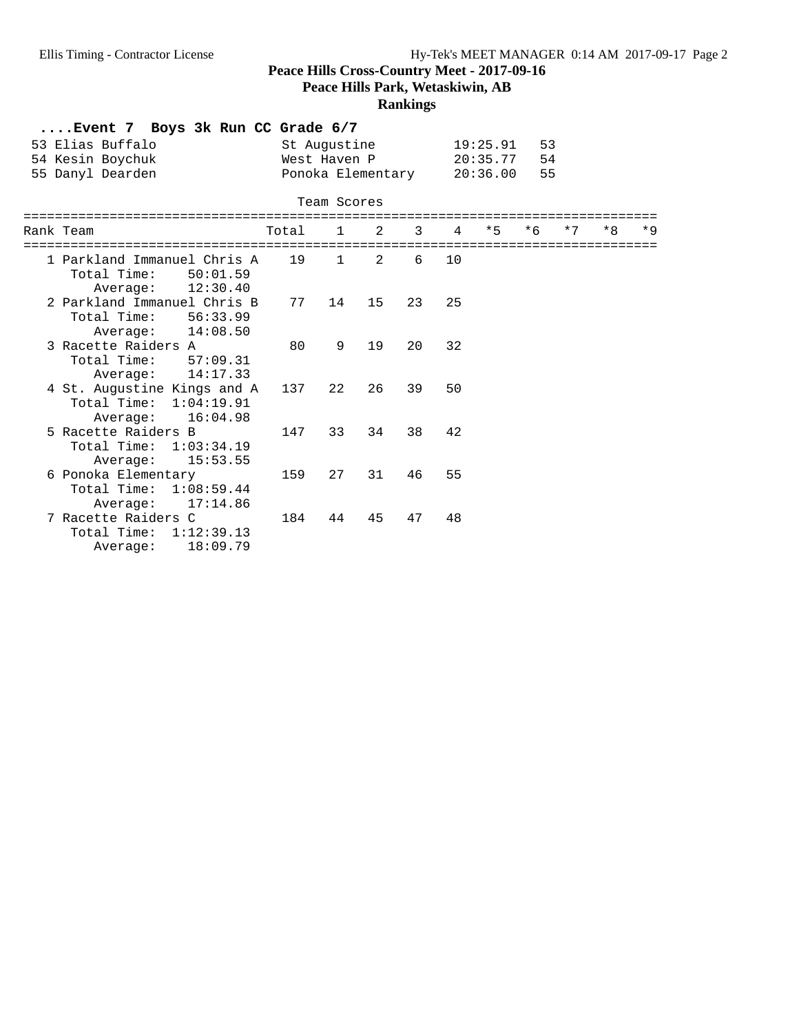**Peace Hills Park, Wetaskiwin, AB**

## **Rankings**

|                         | Event 7 Boys 3k Run CC Grade 6/7                       |         |              |    |                |                |                               |      |      |      |      |
|-------------------------|--------------------------------------------------------|---------|--------------|----|----------------|----------------|-------------------------------|------|------|------|------|
|                         | 53 Elias Buffalo                                       |         | St Augustine |    |                |                | 19:25.91                      | 53   |      |      |      |
|                         | 54 Kesin Boychuk                                       |         | West Haven P |    |                |                | 20:35.77                      | 54   |      |      |      |
|                         | 55 Danyl Dearden                                       |         |              |    |                |                | Ponoka Elementary 20:36.00    | 55   |      |      |      |
|                         |                                                        |         |              |    |                |                |                               |      |      |      |      |
|                         | -------------                                          |         | Team Scores  |    |                |                | ----------------------        |      |      |      |      |
|                         | Rank Team                                              | Total 1 |              | 2  | $\overline{3}$ | $\overline{4}$ | $*5$                          | $*6$ | $*7$ | $*8$ | $*9$ |
| $=$ $=$ $=$ $=$ $=$ $=$ | ==========================                             | 19      | $\mathbf{1}$ | 2  | 6              | 10             | ============================= |      |      |      |      |
|                         | 1 Parkland Immanuel Chris A<br>Total Time:<br>50:01.59 |         |              |    |                |                |                               |      |      |      |      |
|                         | 12:30.40<br>Average:                                   |         |              |    |                |                |                               |      |      |      |      |
|                         | 2 Parkland Immanuel Chris B                            | 77      | 14           | 15 | 23             | 25             |                               |      |      |      |      |
|                         | Total Time: 56:33.99                                   |         |              |    |                |                |                               |      |      |      |      |
|                         | 14:08.50<br>Average:                                   |         |              |    |                |                |                               |      |      |      |      |
|                         | 3 Racette Raiders A                                    | 80      | 9            | 19 | 20             | 32             |                               |      |      |      |      |
|                         | Total Time:<br>57:09.31                                |         |              |    |                |                |                               |      |      |      |      |
|                         | Average: 14:17.33                                      |         |              |    |                |                |                               |      |      |      |      |
|                         | 4 St. Augustine Kings and A                            | 137     | 22           | 26 | 39             | 50             |                               |      |      |      |      |
|                         | Total Time: 1:04:19.91                                 |         |              |    |                |                |                               |      |      |      |      |
|                         | 16:04.98<br>Average:                                   |         |              |    |                |                |                               |      |      |      |      |
|                         | 5 Racette Raiders B                                    | 147     | 33           | 34 | 38             | 42             |                               |      |      |      |      |
|                         | Total Time: 1:03:34.19                                 |         |              |    |                |                |                               |      |      |      |      |
|                         | 15:53.55<br>Average:                                   |         |              |    |                |                |                               |      |      |      |      |
|                         | 6 Ponoka Elementary                                    | 159     | 27           | 31 | 46             | 55             |                               |      |      |      |      |
|                         | Total Time: 1:08:59.44                                 |         |              |    |                |                |                               |      |      |      |      |
|                         | 17:14.86<br>Average:                                   |         |              |    |                |                |                               |      |      |      |      |
|                         | 7 Racette Raiders C                                    | 184     | 44           | 45 | 47             | 48             |                               |      |      |      |      |
|                         | Total Time: 1:12:39.13                                 |         |              |    |                |                |                               |      |      |      |      |
|                         | 18:09.79<br>Average:                                   |         |              |    |                |                |                               |      |      |      |      |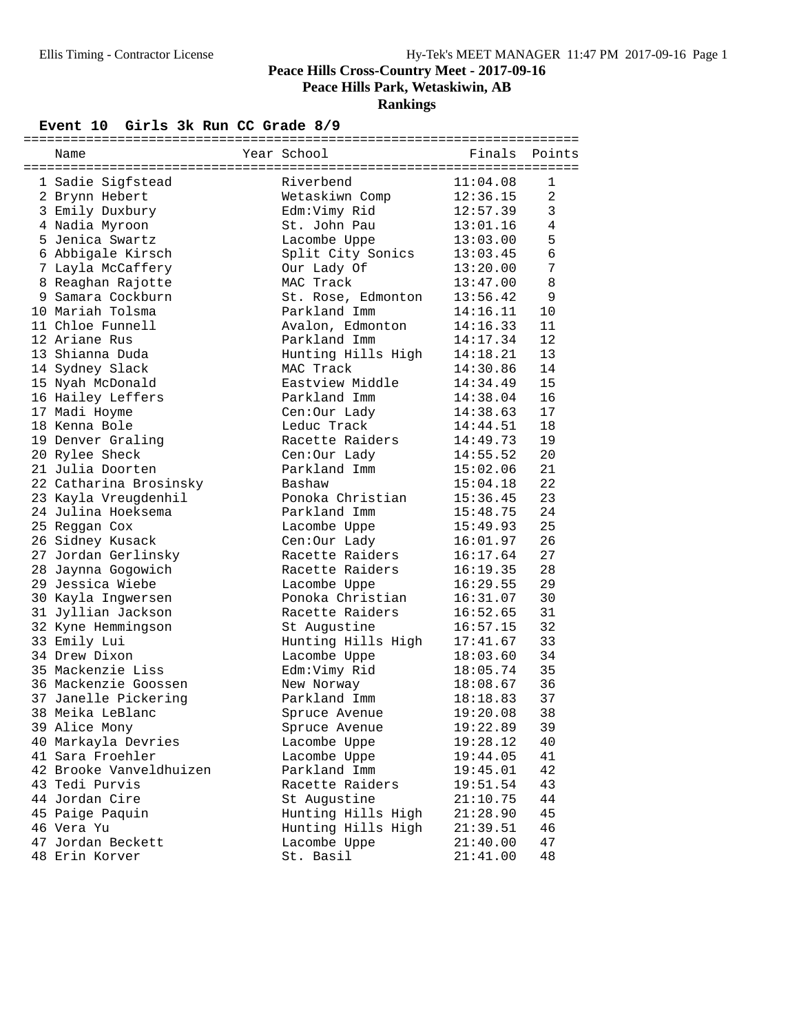## **Rankings**

#### Event 10 Girls 3k Run CC Grade 8/9

| Name                          | Year School        | Finals   | Points         |
|-------------------------------|--------------------|----------|----------------|
|                               |                    |          |                |
| 1 Sadie Sigfstead             | Riverbend          | 11:04.08 | 1              |
| 2 Brynn Hebert                | Wetaskiwn Comp     | 12:36.15 | $\overline{2}$ |
| 3 Emily Duxbury               | Edm:Vimy Rid       | 12:57.39 | $\mathbf{3}$   |
| 4 Nadia Myroon                | St. John Pau       | 13:01.16 | 4              |
| 5 Jenica Swartz               | Lacombe Uppe       | 13:03.00 | 5              |
| 6 Abbigale Kirsch             | Split City Sonics  | 13:03.45 | 6              |
| 7 Layla McCaffery             | Our Lady Of        | 13:20.00 | 7              |
| 8 Reaghan Rajotte             | MAC Track          | 13:47.00 | 8              |
| 9 Samara Cockburn             | St. Rose, Edmonton | 13:56.42 | 9              |
| 10 Mariah Tolsma              | Parkland Imm       | 14:16.11 | 10             |
| 11 Chloe Funnell              | Avalon, Edmonton   | 14:16.33 | 11             |
| 12 Ariane Rus                 | Parkland Imm       | 14:17.34 | 12             |
| 13 Shianna Duda               | Hunting Hills High | 14:18.21 | 13             |
| 14 Sydney Slack               | MAC Track          | 14:30.86 | 14             |
| 15 Nyah McDonald              | Eastview Middle    | 14:34.49 | 15             |
| 16 Hailey Leffers             | Parkland Imm       | 14:38.04 | 16             |
| 17 Madi Hoyme                 | Cen:Our Lady       | 14:38.63 | 17             |
| 18 Kenna Bole                 | Leduc Track        | 14:44.51 | 18             |
| 19 Denver Graling             | Racette Raiders    | 14:49.73 | 19             |
| 20 Rylee Sheck                | Cen:Our Lady       | 14:55.52 | 20             |
| 21 Julia Doorten              | Parkland Imm       | 15:02.06 | 21             |
| 22 Catharina Brosinsky        | Bashaw             | 15:04.18 | 22             |
| 23 Kayla Vreugdenhil          | Ponoka Christian   | 15:36.45 | 23             |
| 24 Julina Hoeksema            | Parkland Imm       | 15:48.75 | 24             |
| 25 Reggan Cox                 | Lacombe Uppe       | 15:49.93 | 25             |
| 26 Sidney Kusack              | Cen:Our Lady       | 16:01.97 | 26             |
| 27 Jordan Gerlinsky           | Racette Raiders    | 16:17.64 | 27             |
| 28 Jaynna Gogowich            | Racette Raiders    | 16:19.35 | 28             |
| 29 Jessica Wiebe              | Lacombe Uppe       | 16:29.55 | 29             |
| 30 Kayla Ingwersen            | Ponoka Christian   | 16:31.07 | 30             |
| 31 Jyllian Jackson            | Racette Raiders    | 16:52.65 | 31             |
| 32 Kyne Hemmingson            |                    | 16:57.15 | 32             |
|                               | St Augustine       | 17:41.67 | 33             |
| 33 Emily Lui<br>34 Drew Dixon | Hunting Hills High |          | 34             |
| 35 Mackenzie Liss             | Lacombe Uppe       | 18:03.60 |                |
| 36 Mackenzie Goossen          | Edm:Vimy Rid       | 18:05.74 | 35             |
|                               | New Norway         | 18:08.67 | 36             |
| 37 Janelle Pickering          | Parkland Imm       | 18:18.83 | 37             |
| 38 Meika LeBlanc              | Spruce Avenue      | 19:20.08 | 38             |
| 39 Alice Mony                 | Spruce Avenue      | 19:22.89 | 39             |
| 40 Markayla Devries           | Lacombe Uppe       | 19:28.12 | 40             |
| 41 Sara Froehler              | Lacombe Uppe       | 19:44.05 | 41             |
| 42 Brooke Vanveldhuizen       | Parkland Imm       | 19:45.01 | 42             |
| 43 Tedi Purvis                | Racette Raiders    | 19:51.54 | 43             |
| 44 Jordan Cire                | St Augustine       | 21:10.75 | 44             |
| 45 Paige Paquin               | Hunting Hills High | 21:28.90 | 45             |
| 46 Vera Yu                    | Hunting Hills High | 21:39.51 | 46             |
| 47 Jordan Beckett             | Lacombe Uppe       | 21:40.00 | 47             |
| 48 Erin Korver                | St. Basil          | 21:41.00 | 48             |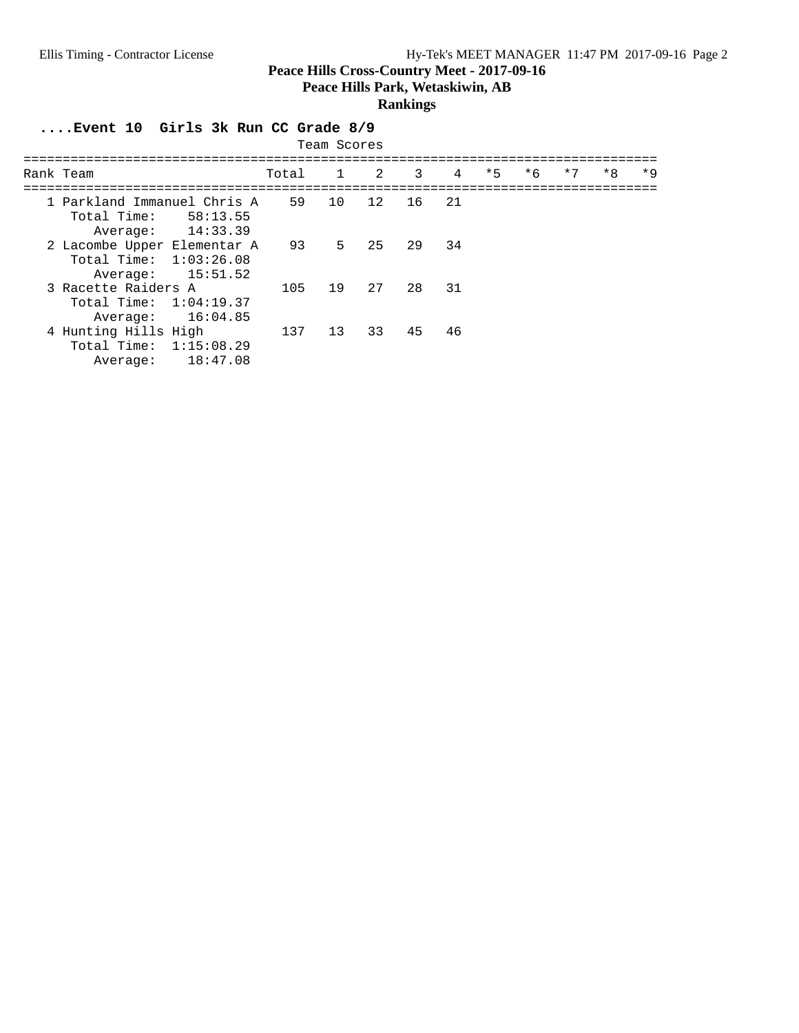**Peace Hills Park, Wetaskiwin, AB**

## **Rankings**

**....Event 10 Girls 3k Run CC Grade 8/9**

| Team Scores                                                         |                      |           |             |    |                |     |      |      |      |      |      |  |  |
|---------------------------------------------------------------------|----------------------|-----------|-------------|----|----------------|-----|------|------|------|------|------|--|--|
| Rank Team                                                           |                      | Total 1 2 |             |    | $\overline{3}$ | 4   | $*5$ | $*6$ | $*7$ | $*8$ | $*9$ |  |  |
| 1 Parkland Immanuel Chris A 59<br>Total Time:<br>Average:           | 58:13.55<br>14:33.39 |           | 10          | 12 | 16 —           | 2.1 |      |      |      |      |      |  |  |
| 2 Lacombe Upper Elementar A<br>Total Time: $1:03:26.08$<br>Average: | 15:51.52             | 93        | $5^{\circ}$ | 25 | 29             | 34  |      |      |      |      |      |  |  |
| 3 Racette Raiders A<br>Total Time: $1:04:19.37$<br>Average:         | 16:04.85             | 105       | 19          | 27 | 28             | 31  |      |      |      |      |      |  |  |
| 4 Hunting Hills High<br>Total Time: $1:15:08.29$<br>Average:        | 18:47.08             | 137       | 13          | 33 | 45             | 46  |      |      |      |      |      |  |  |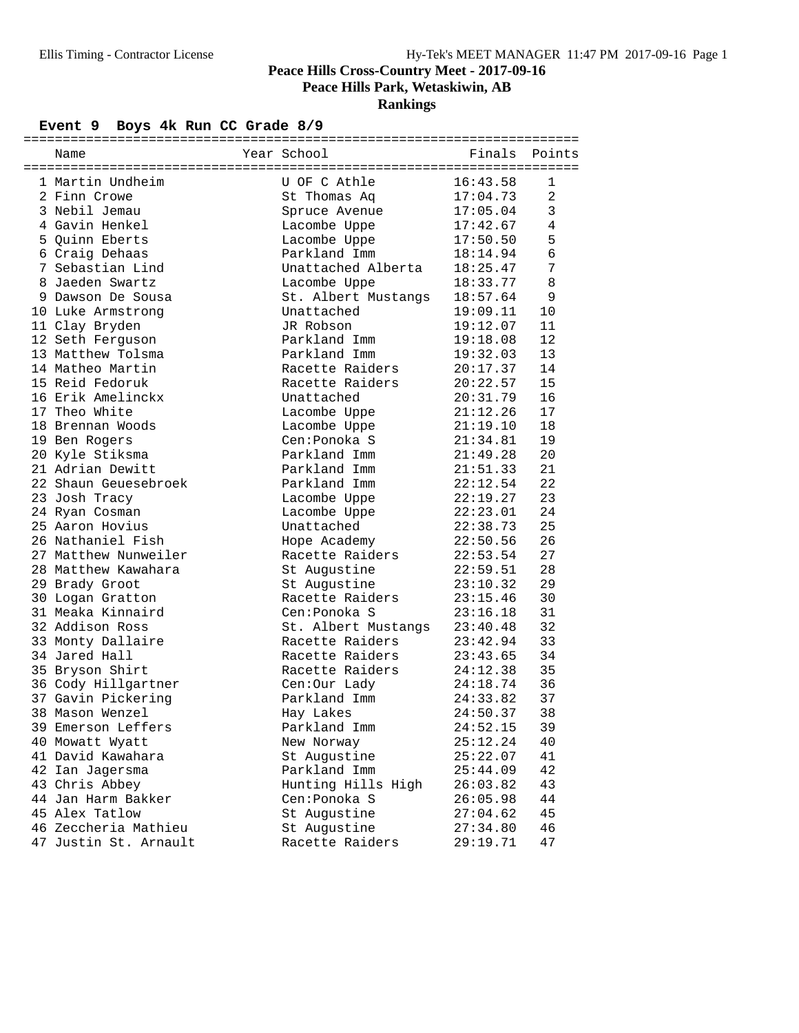## **Rankings**

## Event 9 Boys 4k Run CC Grade 8/9

| Name                  | Year School                   | Finals   | Points         |
|-----------------------|-------------------------------|----------|----------------|
| 1 Martin Undheim      | U OF C Athle                  | 16:43.58 | 1              |
| 2 Finn Crowe          | St Thomas Aq                  | 17:04.73 | $\overline{a}$ |
| 3 Nebil Jemau         |                               | 17:05.04 | 3              |
| 4 Gavin Henkel        | Spruce Avenue<br>Lacombe Uppe | 17:42.67 | 4              |
| 5 Quinn Eberts        | Lacombe Uppe                  | 17:50.50 | 5              |
| 6 Craig Dehaas        | Parkland Imm                  | 18:14.94 | 6              |
| 7 Sebastian Lind      | Unattached Alberta            | 18:25.47 | 7              |
| 8 Jaeden Swartz       | Lacombe Uppe                  | 18:33.77 | 8              |
| 9 Dawson De Sousa     | St. Albert Mustangs           | 18:57.64 | 9              |
| 10 Luke Armstrong     | Unattached                    | 19:09.11 | 10             |
| 11 Clay Bryden        | JR Robson                     | 19:12.07 | 11             |
| 12 Seth Ferguson      | Parkland Imm                  | 19:18.08 | 12             |
| 13 Matthew Tolsma     | Parkland Imm                  | 19:32.03 | 13             |
| 14 Matheo Martin      | Racette Raiders               | 20:17.37 | 14             |
| 15 Reid Fedoruk       | Racette Raiders               | 20:22.57 | 15             |
| 16 Erik Amelinckx     | Unattached                    | 20:31.79 | 16             |
| 17 Theo White         | Lacombe Uppe                  | 21:12.26 | 17             |
| 18 Brennan Woods      | Lacombe Uppe                  | 21:19.10 | 18             |
| 19 Ben Rogers         | Cen: Ponoka S                 | 21:34.81 | 19             |
| 20 Kyle Stiksma       | Parkland Imm                  | 21:49.28 | 20             |
| 21 Adrian Dewitt      | Parkland Imm                  | 21:51.33 | 21             |
| 22 Shaun Geuesebroek  | Parkland Imm                  | 22:12.54 | 22             |
| 23 Josh Tracy         | Lacombe Uppe                  | 22:19.27 | 23             |
| 24 Ryan Cosman        | Lacombe Uppe                  | 22:23.01 | 24             |
| 25 Aaron Hovius       | Unattached                    | 22:38.73 | 25             |
| 26 Nathaniel Fish     | Hope Academy                  | 22:50.56 | 26             |
| 27 Matthew Nunweiler  | Racette Raiders               | 22:53.54 | 27             |
| 28 Matthew Kawahara   | St Augustine                  | 22:59.51 | 28             |
| 29 Brady Groot        | St Augustine                  | 23:10.32 | 29             |
| 30 Logan Gratton      | Racette Raiders               | 23:15.46 | 30             |
| 31 Meaka Kinnaird     | Cen: Ponoka S                 | 23:16.18 | 31             |
| 32 Addison Ross       | St. Albert Mustangs           | 23:40.48 | 32             |
| 33 Monty Dallaire     | Racette Raiders               | 23:42.94 | 33             |
| 34 Jared Hall         | Racette Raiders               | 23:43.65 | 34             |
| 35 Bryson Shirt       | Racette Raiders               | 24:12.38 | 35             |
| 36 Cody Hillgartner   | Cen:Our Lady                  | 24:18.74 | 36             |
| 37 Gavin Pickering    | Parkland Imm                  | 24:33.82 | 37             |
| 38 Mason Wenzel       | Hay Lakes                     | 24:50.37 | 38             |
| 39 Emerson Leffers    | Parkland Imm                  | 24:52.15 | 39             |
| 40 Mowatt Wyatt       | New Norway                    | 25:12.24 | 40             |
| 41 David Kawahara     | St Augustine                  | 25:22.07 | 41             |
| 42 Ian Jagersma       | Parkland Imm                  | 25:44.09 | 42             |
| 43 Chris Abbey        | Hunting Hills High            | 26:03.82 | 43             |
| 44 Jan Harm Bakker    | Cen: Ponoka S                 | 26:05.98 | 44             |
| 45 Alex Tatlow        | St Augustine                  | 27:04.62 | 45             |
| 46 Zeccheria Mathieu  | St Augustine                  | 27:34.80 | 46             |
| 47 Justin St. Arnault | Racette Raiders               | 29:19.71 | 47             |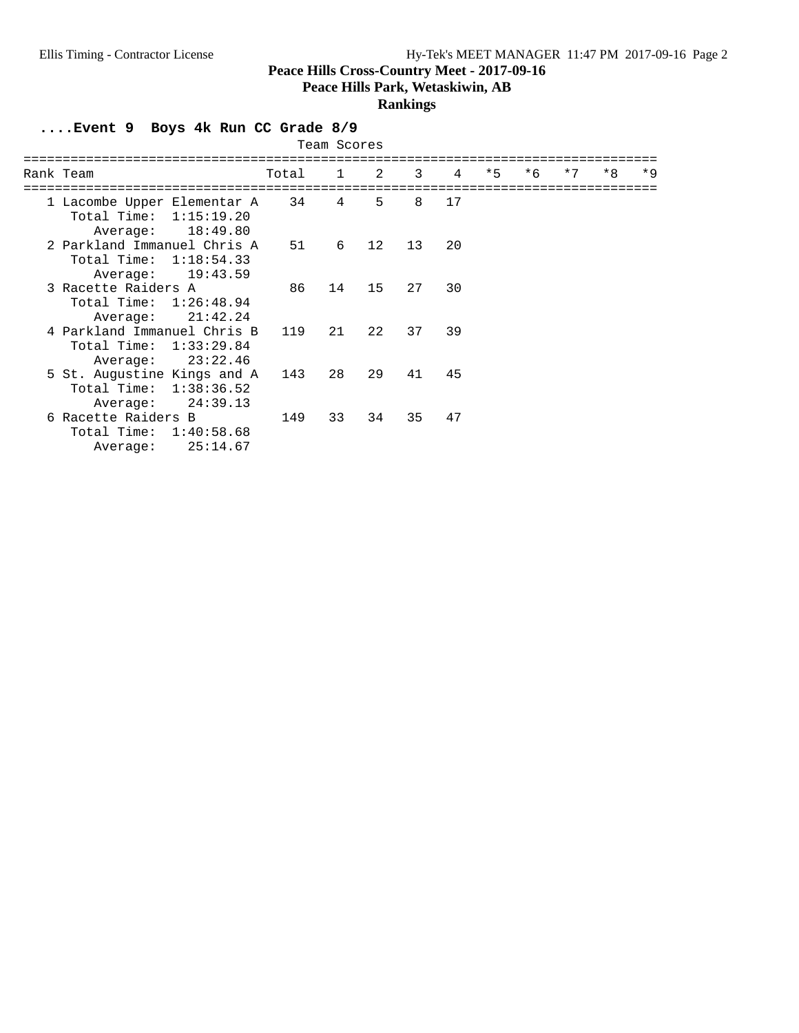**Peace Hills Park, Wetaskiwin, AB**

## **Rankings**

**....Event 9 Boys 4k Run CC Grade 8/9**

|                                                                                     |       | Team Scores    |    |    |                |      |      |      |      |      |
|-------------------------------------------------------------------------------------|-------|----------------|----|----|----------------|------|------|------|------|------|
| Rank Team                                                                           | Total | $\overline{1}$ | 2  | 3  | $\overline{4}$ | $*5$ | $*6$ | $*7$ | $*8$ | $*9$ |
| 1 Lacombe Upper Elementar A 34<br>Total Time:<br>1:15:19.20<br>18:49.80<br>Average: |       | 4              | 5  | 8  | 17             |      |      |      |      |      |
| 2 Parkland Immanuel Chris A<br>Total Time: $1:18:54.33$<br>19:43.59<br>Average:     | 51    | 6              | 12 | 13 | 20             |      |      |      |      |      |
| 3 Racette Raiders A<br>Total Time: 1:26:48.94<br>21:42.24<br>Average:               | 86    | 14             | 15 | 27 | 30             |      |      |      |      |      |
| 4 Parkland Immanuel Chris B<br>Total Time: $1:33:29.84$<br>23:22.46<br>Average:     | 119   | 21             | 22 | 37 | 39             |      |      |      |      |      |
| 5 St. Augustine Kings and A<br>Total Time: 1:38:36.52<br>24:39.13<br>Average:       | 143   | 28             | 29 | 41 | 45             |      |      |      |      |      |
| 6 Racette Raiders B<br>Total Time: $1:40:58.68$<br>25:14.67<br>Average:             | 149   | 33             | 34 | 35 | 47             |      |      |      |      |      |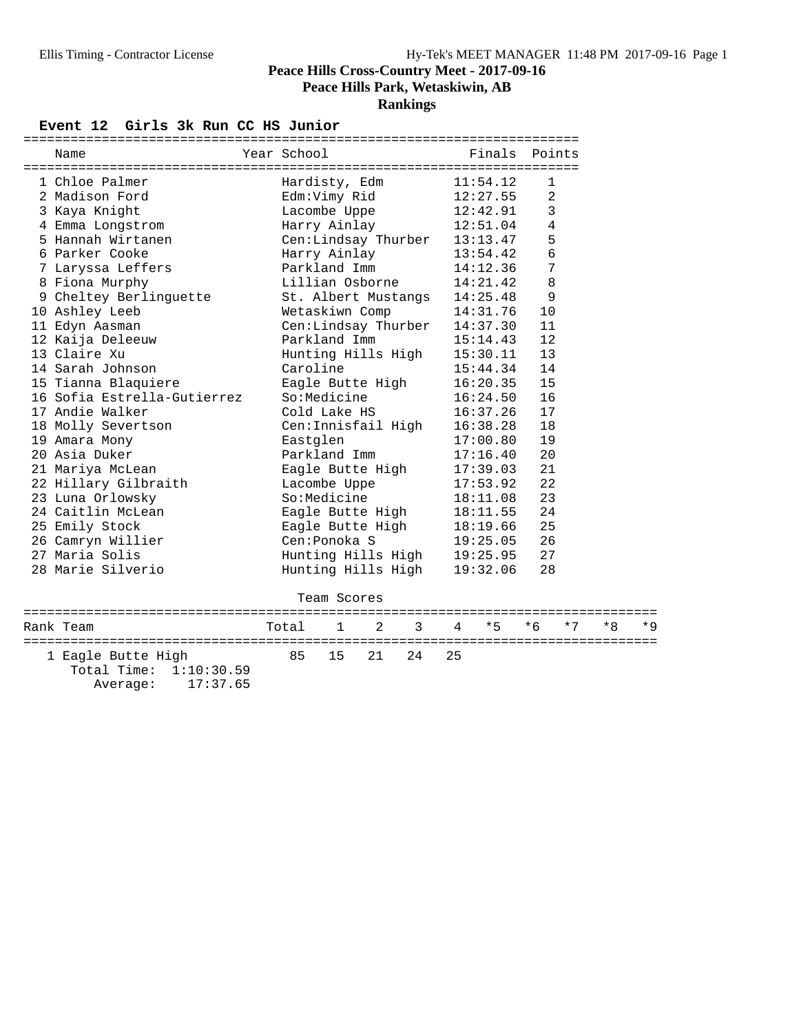#### Event 12 Girls 3k Run CC HS Junior

| Name                        |  | Year School                  | Finals Points |                |  |  |  |  |  |
|-----------------------------|--|------------------------------|---------------|----------------|--|--|--|--|--|
|                             |  |                              |               |                |  |  |  |  |  |
| 1 Chloe Palmer              |  | Hardisty, Edm                | 11:54.12      | 1              |  |  |  |  |  |
| 2 Madison Ford              |  | Edm:Vimy Rid                 | 12:27.55      | 2              |  |  |  |  |  |
| 3 Kaya Knight               |  | Lacombe Uppe $12:42.91$      |               | $\overline{3}$ |  |  |  |  |  |
| 4 Emma Longstrom            |  | Harry Ainlay 12:51.04        |               | $\overline{4}$ |  |  |  |  |  |
| 5 Hannah Wirtanen           |  | Cen:Lindsay Thurber 13:13.47 |               | 5              |  |  |  |  |  |
| 6 Parker Cooke              |  | Harry Ainlay                 | 13:54.42      | 6              |  |  |  |  |  |
| 7 Laryssa Leffers           |  | Parkland Imm 14:12.36        |               | 7              |  |  |  |  |  |
| 8 Fiona Murphy              |  | Lillian Osborne              | 14:21.42      | 8              |  |  |  |  |  |
| 9 Cheltey Berlinguette      |  | St. Albert Mustangs 14:25.48 |               | 9              |  |  |  |  |  |
| 10 Ashley Leeb              |  | Wetaskiwn Comp               | 14:31.76      | 10             |  |  |  |  |  |
| 11 Edyn Aasman              |  | Cen:Lindsay Thurber          | 14:37.30      | 11             |  |  |  |  |  |
| 12 Kaija Deleeuw            |  | Parkland Imm                 | 15:14.43      | 12             |  |  |  |  |  |
| 13 Claire Xu                |  | Hunting Hills High 15:30.11  |               | 13             |  |  |  |  |  |
| 14 Sarah Johnson            |  | Caroline                     | 15:44.34      | 14             |  |  |  |  |  |
| 15 Tianna Blaquiere         |  | Eagle Butte High             | 16:20.35      | 15             |  |  |  |  |  |
| 16 Sofia Estrella-Gutierrez |  | So:Medicine                  | 16:24.50      | 16             |  |  |  |  |  |
| 17 Andie Walker             |  | Cold Lake HS                 | 16:37.26      | 17             |  |  |  |  |  |
| 18 Molly Severtson          |  | Cen:Innisfail High           | 16:38.28      | 18             |  |  |  |  |  |
| 19 Amara Mony               |  | Eastglen                     | 17:00.80      | 19             |  |  |  |  |  |
| 20 Asia Duker               |  | Parkland Imm                 | 17:16.40      | 20             |  |  |  |  |  |
| 21 Mariya McLean            |  | Eagle Butte High 17:39.03    |               | 21             |  |  |  |  |  |
| 22 Hillary Gilbraith        |  | Lacombe Uppe                 | 17:53.92      | 22             |  |  |  |  |  |
| 23 Luna Orlowsky            |  | So:Medicine                  | 18:11.08      | 23             |  |  |  |  |  |
| 24 Caitlin McLean           |  | Eagle Butte High 18:11.55    |               | 24             |  |  |  |  |  |
| 25 Emily Stock              |  | Eagle Butte High             | 18:19.66      | 25             |  |  |  |  |  |
| 26 Camryn Willier           |  | Cen:Ponoka S                 | 19:25.05      | 26             |  |  |  |  |  |
| 27 Maria Solis              |  | Hunting Hills High 19:25.95  |               | 27             |  |  |  |  |  |
| 28 Marie Silverio           |  | Hunting Hills High           | 19:32.06      | 28             |  |  |  |  |  |
|                             |  |                              |               |                |  |  |  |  |  |
|                             |  | Team Scores                  |               |                |  |  |  |  |  |

| Rank Team                                                           | Total 1 2 3 4 *5 *6 *7 *8 *9 |  |                |  |  |  |
|---------------------------------------------------------------------|------------------------------|--|----------------|--|--|--|
| 1 Eagle Butte High<br>Total Time: $1:10:30.59$<br>Average: 17:37.65 |                              |  | 85 15 21 24 25 |  |  |  |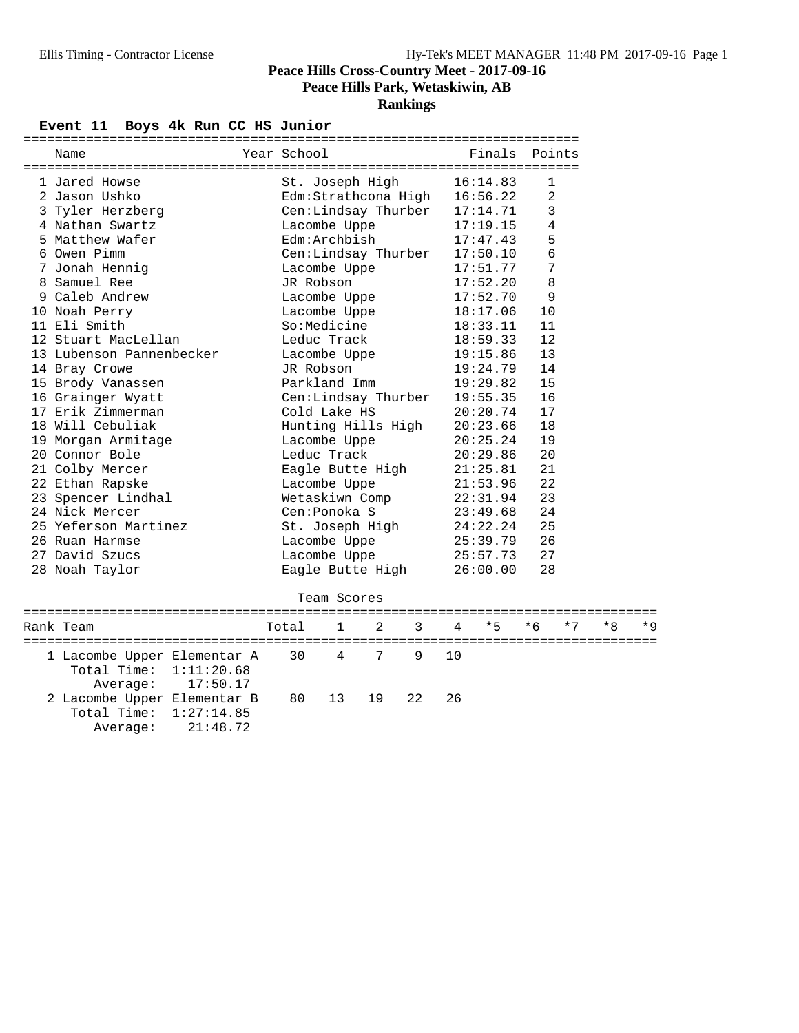## **Rankings**

#### Event 11 Boys 4k Run CC HS Junior

| =============<br>============================== |  |                                                                                                                |          |                |  |  |  |  |
|-------------------------------------------------|--|----------------------------------------------------------------------------------------------------------------|----------|----------------|--|--|--|--|
| Name                                            |  | Year School                                 Finals   Points                                                    |          |                |  |  |  |  |
|                                                 |  |                                                                                                                |          |                |  |  |  |  |
| 1 Jared Howse                                   |  | St. Joseph High                                                                                                | 16:14.83 | 1              |  |  |  |  |
| 2 Jason Ushko                                   |  | Edm:Strathcona High 16:56.22                                                                                   |          | 2              |  |  |  |  |
| 3 Tyler Herzberg                                |  | Cen:Lindsay Thurber 17:14.71                                                                                   |          | 3              |  |  |  |  |
| 4 Nathan Swartz                                 |  | Lacombe Uppe                                                                                                   | 17:19.15 | $\overline{4}$ |  |  |  |  |
| 5 Matthew Wafer                                 |  | $Edm:Archbish$ 17:47.43                                                                                        |          | 5              |  |  |  |  |
| 6 Owen Pimm                                     |  | Cen:Lindsay Thurber 17:50.10                                                                                   |          | $\epsilon$     |  |  |  |  |
| 7 Jonah Hennig                                  |  | Lacombe Uppe                                                                                                   | 17:51.77 | 7              |  |  |  |  |
| 8 Samuel Ree                                    |  | JR Robson                                                                                                      | 17:52.20 | 8              |  |  |  |  |
| 9 Caleb Andrew                                  |  | Lacombe Uppe                                                                                                   | 17:52.70 | 9              |  |  |  |  |
| 10 Noah Perry                                   |  | Lacombe Uppe                                                                                                   | 18:17.06 | 10             |  |  |  |  |
| 11 Eli Smith                                    |  | So:Medicine                                                                                                    | 18:33.11 | 11             |  |  |  |  |
| 12 Stuart MacLellan                             |  | Leduc Track                                                                                                    | 18:59.33 | 12             |  |  |  |  |
| 13 Lubenson Pannenbecker                        |  | Lacombe Uppe                                                                                                   | 19:15.86 | 13             |  |  |  |  |
| 14 Bray Crowe                                   |  | JR Robson                                                                                                      | 19:24.79 | 14             |  |  |  |  |
| 15 Brody Vanassen                               |  | Parkland Imm                                                                                                   | 19:29.82 | 15             |  |  |  |  |
| 16 Grainger Wyatt                               |  | Cen:Lindsay Thurber 19:55.35                                                                                   |          | 16             |  |  |  |  |
| 17 Erik Zimmerman                               |  | Cold Lake HS                                                                                                   | 20:20.74 | 17             |  |  |  |  |
| 18 Will Cebuliak                                |  | Hunting Hills High 20:23.66                                                                                    |          | 18             |  |  |  |  |
| 19 Morgan Armitage                              |  | Lacombe Uppe 20:25.24                                                                                          |          | 19             |  |  |  |  |
| 20 Connor Bole                                  |  | Leduc Track the contract of the contract of the contract of the contract of the contract of the contract of th | 20:29.86 | 20             |  |  |  |  |
| 21 Colby Mercer                                 |  | Eagle Butte High                                                                                               | 21:25.81 | 21             |  |  |  |  |
| 22 Ethan Rapske                                 |  | Lacombe Uppe                                                                                                   | 21:53.96 | 22             |  |  |  |  |
| 23 Spencer Lindhal                              |  | Wetaskiwn Comp                                                                                                 | 22:31.94 | 23             |  |  |  |  |
| 24 Nick Mercer                                  |  | Cen: Ponoka S                                                                                                  | 23:49.68 | 24             |  |  |  |  |
| 25 Yeferson Martinez                            |  | St. Joseph High 24:22.24                                                                                       |          | 25             |  |  |  |  |
| 26 Ruan Harmse                                  |  | Lacombe Uppe                                                                                                   | 25:39.79 | 26             |  |  |  |  |
| 27 David Szucs                                  |  | Lacombe Uppe                                                                                                   | 25:57.73 | 27             |  |  |  |  |
| 28 Noah Taylor                                  |  | Eagle Butte High                                                                                               | 26:00.00 | 28             |  |  |  |  |
|                                                 |  |                                                                                                                |          |                |  |  |  |  |

#### ================================================================================= Total 1 2 3 4 \*5 \*6 \*7 \*8 \*9 ================================================================================= 1 Lacombe Upper Elementar A 30 4 7 9 10 Total Time: 1:11:20.68 Average: 17:50.17 2 Lacombe Upper Elementar B 80 13 19 22 26 Total Time: 1:27:14.85 Average: 21:48.72

Team Scores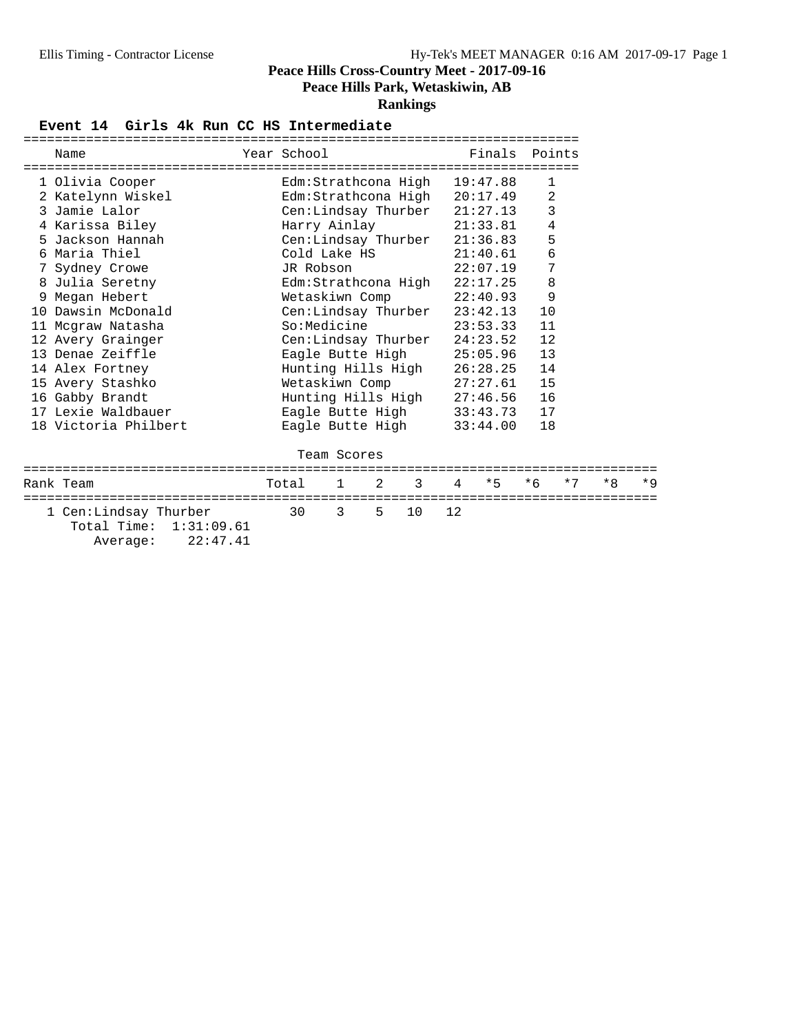**Peace Hills Park, Wetaskiwin, AB**

#### **Rankings**

#### Event 14 Girls 4k Run CC HS Intermediate

|                                                                                      |                                   |             |  | ========================== |                |  |      |
|--------------------------------------------------------------------------------------|-----------------------------------|-------------|--|----------------------------|----------------|--|------|
| Name                                                                                 | Year School States and the School |             |  | Finals Points              |                |  |      |
| 1 Olivia Cooper                                                                      | Edm:Strathcona High 19:47.88      |             |  |                            | 1              |  |      |
| 2 Katelynn Wiskel                                                                    | Edm:Strathcona High 20:17.49      |             |  |                            | $\overline{a}$ |  |      |
| 3 Jamie Lalor                                                                        | Cen:Lindsay Thurber 21:27.13      |             |  |                            | $\mathbf{3}$   |  |      |
| 4 Karissa Biley                                                                      | Harry Ainlay 21:33.81             |             |  |                            | $\,4$          |  |      |
| 5 Jackson Hannah                                                                     | $Cen:$ Lindsay Thurber $21:36.83$ |             |  |                            | 5              |  |      |
| 6 Maria Thiel                                                                        | Cold Lake $HS$ 21:40.61           |             |  |                            | $\epsilon$     |  |      |
| 7 Sydney Crowe                                                                       | JR Robson                         |             |  | 22:07.19                   | 7              |  |      |
| 8 Julia Seretny                                                                      | Edm:Strathcona High 22:17.25      |             |  |                            | 8              |  |      |
| 9 Megan Hebert                                                                       | Wetaskiwn Comp 22:40.93           |             |  |                            | 9              |  |      |
| 10 Dawsin McDonald                                                                   | Cen:Lindsay Thurber 23:42.13      |             |  |                            | 10             |  |      |
| 11 Mcgraw Natasha                                                                    | $So: Medicine$ $23:53.33$         |             |  |                            | 11             |  |      |
| 12 Avery Grainger                                                                    | Cen:Lindsay Thurber 24:23.52      |             |  |                            | 12             |  |      |
| 13 Denae Zeiffle                                                                     | Eagle Butte High 25:05.96         |             |  |                            | 13             |  |      |
| 14 Alex Fortney                                                                      | Hunting Hills High 26:28.25 14    |             |  |                            |                |  |      |
| 15 Avery Stashko                                                                     | Wetaskiwn Comp 27:27.61 15        |             |  |                            |                |  |      |
| 16 Gabby Brandt                                                                      | Hunting Hills High 27:46.56 16    |             |  |                            |                |  |      |
| 17 Lexie Waldbauer                                                                   | Eagle Butte High 33:43.73 17      |             |  |                            |                |  |      |
| 18 Victoria Philbert                                                                 | Eagle Butte High 33:44.00         |             |  |                            | 18             |  |      |
|                                                                                      |                                   | Team Scores |  |                            |                |  |      |
| Rank Team                                                                            | Total 1 2 3 4 *5 *6 *7 *8         |             |  |                            |                |  | $*9$ |
| 1 Cen:Lindsay Thurber 30 3 5 10 12<br>Total Time: 1:31:09.61<br>22:47.41<br>Average: |                                   |             |  |                            |                |  |      |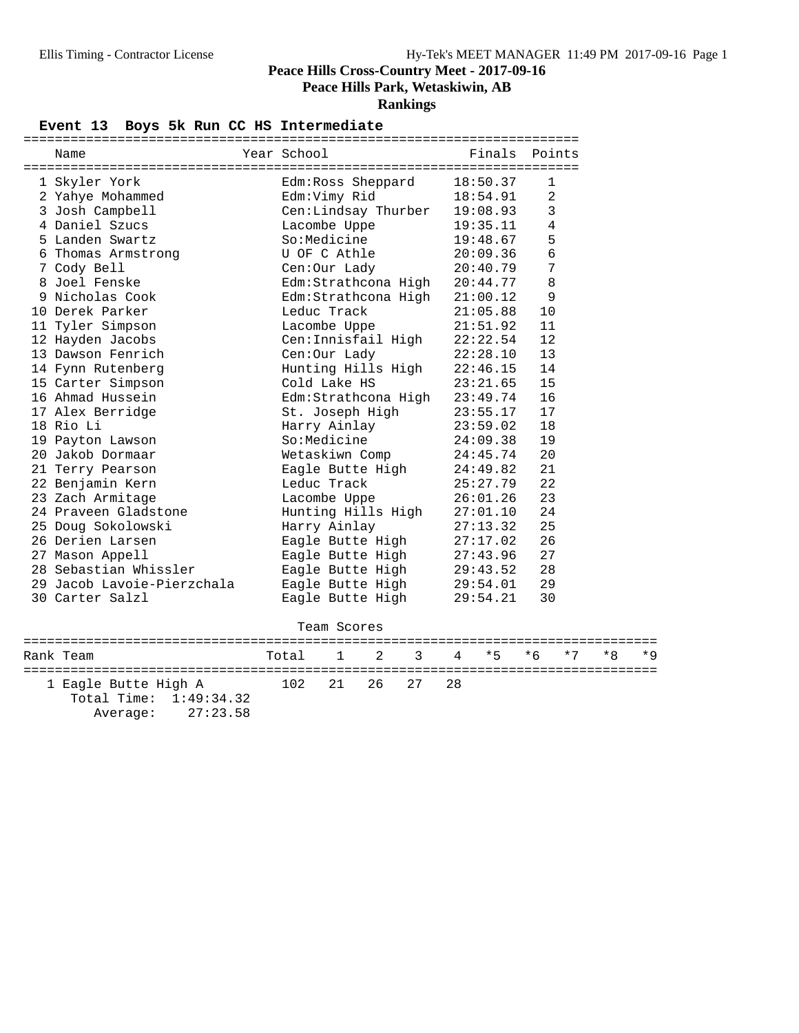**Peace Hills Park, Wetaskiwin, AB**

**Rankings**

#### Event 13 Boys 5k Run CC HS Intermediate

| Name                       | Year School    |              |                     |                     |    | Finals                       | Points |      |      |       |
|----------------------------|----------------|--------------|---------------------|---------------------|----|------------------------------|--------|------|------|-------|
| 1 Skyler York              |                |              | Edm:Ross Sheppard   |                     |    | 18:50.37                     | 1      |      |      |       |
| 2 Yahye Mohammed           | Edm:Vimy Rid   |              |                     |                     |    | 18:54.91                     | 2      |      |      |       |
| 3 Josh Campbell            |                |              |                     | Cen:Lindsay Thurber |    | 19:08.93                     | 3      |      |      |       |
| 4 Daniel Szucs             | Lacombe Uppe   |              |                     |                     |    | 19:35.11                     | 4      |      |      |       |
| 5 Landen Swartz            | So:Medicine    |              |                     |                     |    | 19:48.67                     | 5      |      |      |       |
| 6 Thomas Armstrong         | U OF C Athle   |              |                     |                     |    | 20:09.36                     | 6      |      |      |       |
| 7 Cody Bell                | Cen:Our Lady   |              |                     |                     |    | 20:40.79                     | 7      |      |      |       |
| 8 Joel Fenske              |                |              |                     |                     |    | Edm:Strathcona High 20:44.77 | 8      |      |      |       |
| 9 Nicholas Cook            |                |              |                     | Edm:Strathcona High |    | 21:00.12                     | 9      |      |      |       |
| 10 Derek Parker            | Leduc Track    |              |                     |                     |    | 21:05.88                     | 10     |      |      |       |
| 11 Tyler Simpson           | Lacombe Uppe   |              |                     |                     |    | 21:51.92                     | 11     |      |      |       |
| 12 Hayden Jacobs           |                |              | Cen: Innisfail High |                     |    | 22:22.54                     | 12     |      |      |       |
| 13 Dawson Fenrich          | Cen:Our Lady   |              |                     |                     |    | 22:28.10                     | 13     |      |      |       |
| 14 Fynn Rutenberg          |                |              |                     | Hunting Hills High  |    | 22:46.15                     | 14     |      |      |       |
| 15 Carter Simpson          | Cold Lake HS   |              |                     |                     |    | 23:21.65                     | 15     |      |      |       |
| 16 Ahmad Hussein           |                |              |                     | Edm:Strathcona High |    | 23:49.74                     | 16     |      |      |       |
| 17 Alex Berridge           |                |              | St. Joseph High     |                     |    | 23:55.17                     | 17     |      |      |       |
| 18 Rio Li                  | Harry Ainlay   |              |                     |                     |    | 23:59.02                     | 18     |      |      |       |
| 19 Payton Lawson           | So:Medicine    |              |                     |                     |    | 24:09.38                     | 19     |      |      |       |
| 20 Jakob Dormaar           | Wetaskiwn Comp |              |                     |                     |    | 24:45.74                     | 20     |      |      |       |
| 21 Terry Pearson           |                |              | Eagle Butte High    |                     |    | 24:49.82                     | 21     |      |      |       |
| 22 Benjamin Kern           | Leduc Track    |              |                     |                     |    | 25:27.79                     | 22     |      |      |       |
| 23 Zach Armitage           | Lacombe Uppe   |              |                     |                     |    | 26:01.26                     | 23     |      |      |       |
| 24 Praveen Gladstone       |                |              | Hunting Hills High  |                     |    | 27:01.10                     | 24     |      |      |       |
| 25 Doug Sokolowski         | Harry Ainlay   |              |                     |                     |    | 27:13.32                     | 25     |      |      |       |
| 26 Derien Larsen           |                |              | Eagle Butte High    |                     |    | 27:17.02                     | 26     |      |      |       |
| 27 Mason Appell            |                |              | Eagle Butte High    |                     |    | 27:43.96                     | 27     |      |      |       |
| 28 Sebastian Whissler      |                |              | Eagle Butte High    |                     |    | 29:43.52                     | 28     |      |      |       |
| 29 Jacob Lavoie-Pierzchala |                |              | Eagle Butte High    |                     |    | 29:54.01                     | 29     |      |      |       |
| 30 Carter Salzl            |                |              | Eagle Butte High    |                     |    | 29:54.21                     | 30     |      |      |       |
|                            |                | Team Scores  |                     |                     |    |                              |        |      |      |       |
| Rank Team                  | Total          | $\mathbf{1}$ | 2                   | 3                   | 4  | * 5                          | $*6$   | $*7$ | $*8$ | $*$ 9 |
| 1 Eagle Butte High A       | 102            | 21           | 26                  | 27                  | 28 |                              |        |      |      |       |

 Total Time: 1:49:34.32 Average: 27:23.58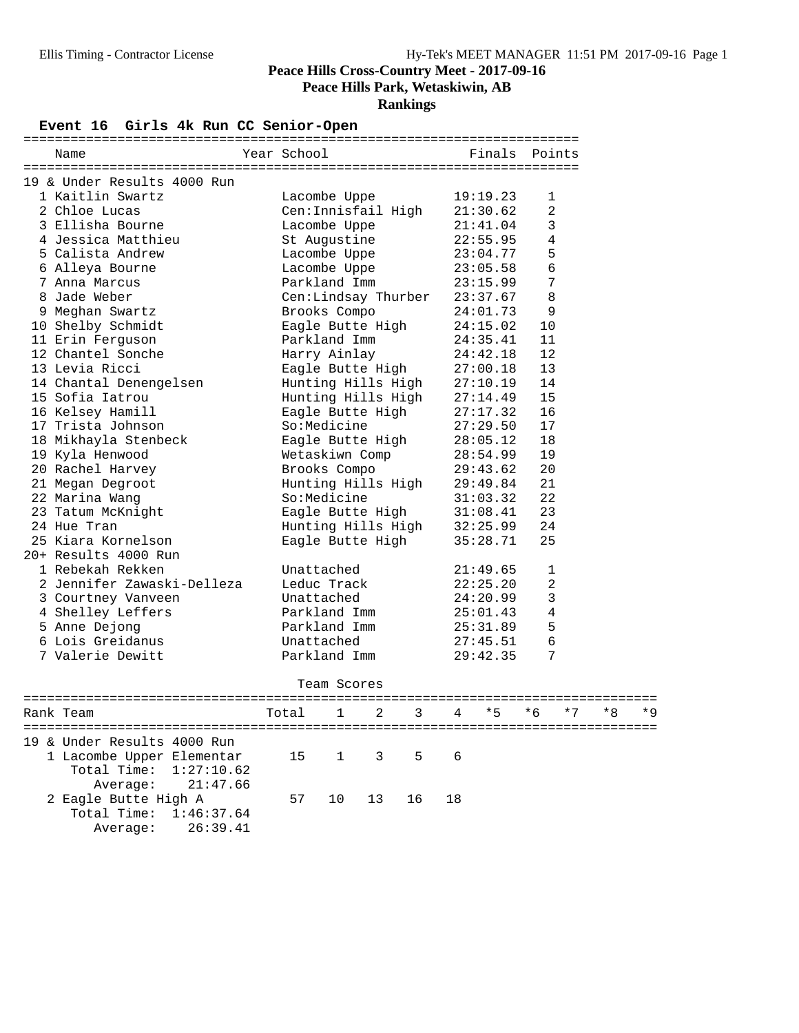## **Rankings**

## **Event 16 Girls 4k Run CC Senior-Open**

| Name                        | Year School         | Finals   | Points         |
|-----------------------------|---------------------|----------|----------------|
| 19 & Under Results 4000 Run |                     |          |                |
| 1 Kaitlin Swartz            | Lacombe Uppe        | 19:19.23 | 1              |
| 2 Chloe Lucas               | Cen:Innisfail High  | 21:30.62 | $\overline{2}$ |
| 3 Ellisha Bourne            | Lacombe Uppe        | 21:41.04 | 3              |
| 4 Jessica Matthieu          | St Augustine        | 22:55.95 | $\overline{4}$ |
| 5 Calista Andrew            | Lacombe Uppe        | 23:04.77 | 5              |
| 6 Alleya Bourne             | Lacombe Uppe        | 23:05.58 | 6              |
| 7 Anna Marcus               | Parkland Imm        | 23:15.99 | 7              |
| 8 Jade Weber                | Cen:Lindsay Thurber | 23:37.67 | 8              |
| 9 Meghan Swartz             | Brooks Compo        | 24:01.73 | 9              |
| 10 Shelby Schmidt           | Eagle Butte High    | 24:15.02 | 10             |
| 11 Erin Ferguson            | Parkland Imm        | 24:35.41 | 11             |
| 12 Chantel Sonche           | Harry Ainlay        | 24:42.18 | 12             |
| 13 Levia Ricci              | Eagle Butte High    | 27:00.18 | 13             |
| 14 Chantal Denengelsen      | Hunting Hills High  | 27:10.19 | 14             |
| 15 Sofia Iatrou             | Hunting Hills High  | 27:14.49 | 15             |
| 16 Kelsey Hamill            | Eagle Butte High    | 27:17.32 | 16             |
| 17 Trista Johnson           | So:Medicine         | 27:29.50 | 17             |
| 18 Mikhayla Stenbeck        | Eagle Butte High    | 28:05.12 | 18             |
| 19 Kyla Henwood             | Wetaskiwn Comp      | 28:54.99 | 19             |
| 20 Rachel Harvey            | Brooks Compo        | 29:43.62 | 20             |
| 21 Megan Degroot            | Hunting Hills High  | 29:49.84 | 21             |
| 22 Marina Wang              | So:Medicine         | 31:03.32 | 22             |
| 23 Tatum McKnight           | Eagle Butte High    | 31:08.41 | 23             |
| 24 Hue Tran                 | Hunting Hills High  | 32:25.99 | 24             |
| 25 Kiara Kornelson          | Eagle Butte High    | 35:28.71 | 25             |
| 20+ Results 4000 Run        |                     |          |                |
| 1 Rebekah Rekken            | Unattached          | 21:49.65 | 1              |
| 2 Jennifer Zawaski-Delleza  | Leduc Track         | 22:25.20 | $\overline{2}$ |
| 3 Courtney Vanveen          | Unattached          | 24:20.99 | 3              |
| 4 Shelley Leffers           | Parkland Imm        | 25:01.43 | $\overline{4}$ |
| 5 Anne Dejong               | Parkland Imm        | 25:31.89 | 5              |
| 6 Lois Greidanus            | Unattached          | 27:45.51 | 6              |
| 7 Valerie Dewitt            | Parkland Imm        | 29:42.35 | 7              |
|                             |                     |          |                |

Team Scores

| Rank Team                                                                                                 | Total 1 2 3 4 *5 *6 *7 *8 *9 |  |  |  |  |  |
|-----------------------------------------------------------------------------------------------------------|------------------------------|--|--|--|--|--|
| 19 & Under Results 4000 Run<br>1 Lacombe Upper Elementar<br>Total Time: $1:27:10.62$<br>Average: 21:47.66 | 15 1 3 5 6                   |  |  |  |  |  |
| 2 Eagle Butte High A<br>Total Time: 1:46:37.64<br>Average: 26:39.41                                       | 57 10 13 16 18               |  |  |  |  |  |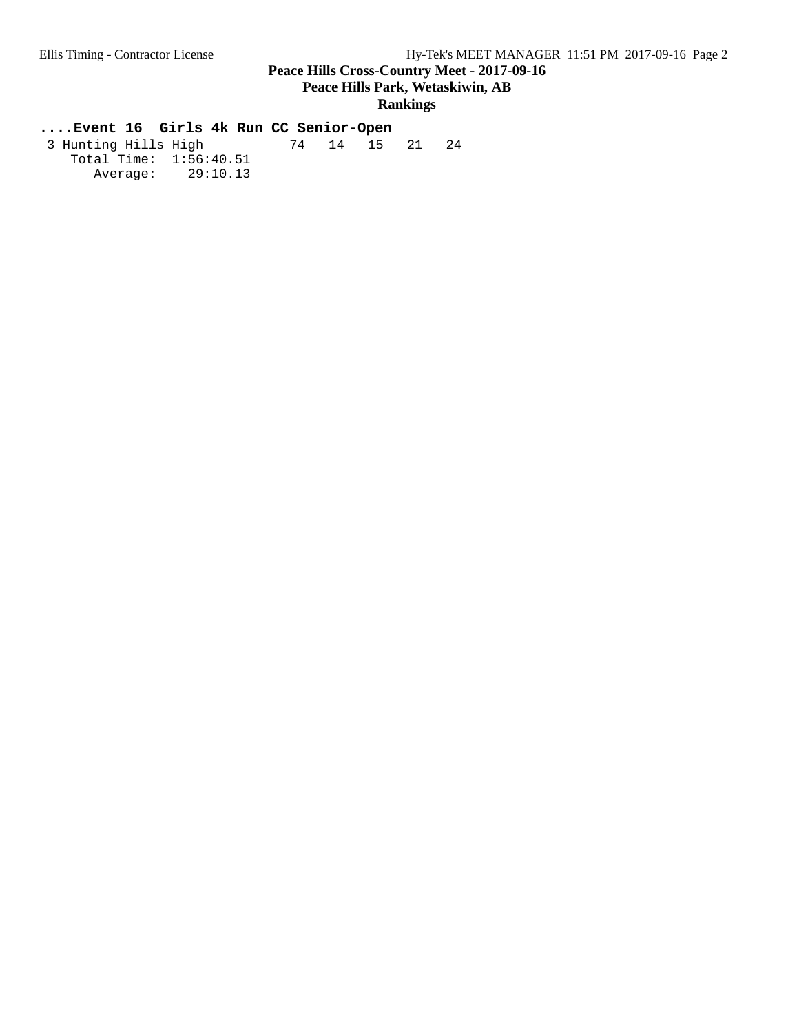#### **Rankings**

# **....Event 16 Girls 4k Run CC Senior-Open**

 3 Hunting Hills High 74 14 15 21 24 Total Time:  $1:\overline{56}:40.51$ Average: 29:10.13